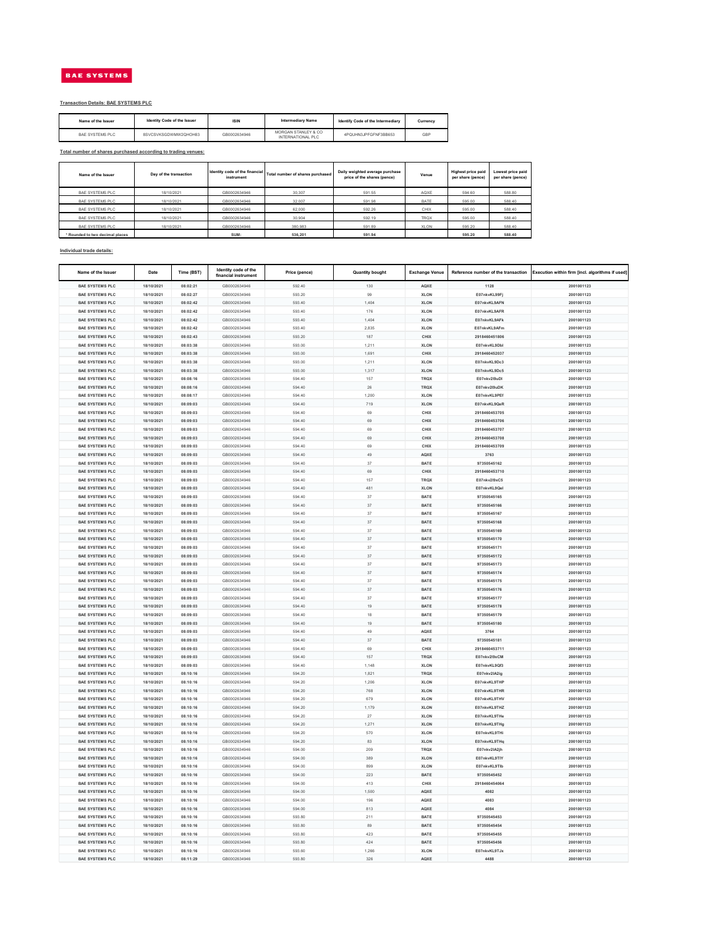| Name of the Issuer              | Day of the transaction | Identity code of the financial  <br>instrument | Total number of shares purchased | Daily weighted average purchase<br>price of the shares (pence) | Venue       | <b>Highest price paid</b><br>per share (pence) | Lowest price paid<br>per share (pence) |
|---------------------------------|------------------------|------------------------------------------------|----------------------------------|----------------------------------------------------------------|-------------|------------------------------------------------|----------------------------------------|
| <b>BAE SYSTEMS PLC</b>          | 18/10/2021             | GB0002634946                                   | 30,307                           | 591.55                                                         | AQXE        | 594.60                                         | 588.80                                 |
| <b>BAE SYSTEMS PLC</b>          | 18/10/2021             | GB0002634946                                   | 32,007                           | 591.98                                                         | <b>BATE</b> | 595.00                                         | 588.40                                 |
| <b>BAE SYSTEMS PLC</b>          | 18/10/2021             | GB0002634946                                   | 62,000                           | 592.26                                                         | <b>CHIX</b> | 595.00                                         | 588.40                                 |
| <b>BAE SYSTEMS PLC</b>          | 18/10/2021             | GB0002634946                                   | 30,904                           | 592.19                                                         | <b>TRQX</b> | 595.00                                         | 588.40                                 |
| <b>BAE SYSTEMS PLC</b>          | 18/10/2021             | GB0002634946                                   | 380,983                          | 591.89                                                         | <b>XLON</b> | 595.20                                         | 588.40                                 |
| * Rounded to two decimal places |                        | SUM:                                           | 536,201                          | 591.94                                                         |             | 595.20                                         | 588.40                                 |

| Name of the Issuer | <b>Identity Code of the Issuer</b> | <b>ISIN</b>  | <b>Intermediary Name</b>                 | <b>Identify Code of the Intermediary</b> | Currency   |
|--------------------|------------------------------------|--------------|------------------------------------------|------------------------------------------|------------|
| BAE SYSTEMS PLC    | 8SVCSVKSGDWMW2QHOH83               | GB0002634946 | MORGAN STANLEY & CO<br>INTERNATIONAL PLC | 4PQUHN3JPFGFNF3BB653                     | <b>GBP</b> |

| Name of the Issuer     | <b>Date</b> | Time (BST) | Identity code of the<br>financial instrument | Price (pence) | <b>Quantity bought</b> | <b>Exchange Venue</b> |               | Reference number of the transaction   Execution within firm [incl. algorithms if used] |
|------------------------|-------------|------------|----------------------------------------------|---------------|------------------------|-----------------------|---------------|----------------------------------------------------------------------------------------|
| <b>BAE SYSTEMS PLC</b> | 18/10/2021  | 08:02:21   | GB0002634946                                 | 592.40        | 130                    | <b>AQXE</b>           | 1128          | 2001001123                                                                             |
| <b>BAE SYSTEMS PLC</b> | 18/10/2021  | 08:02:27   | GB0002634946                                 | 593.20        | 99                     | <b>XLON</b>           | E07nkvKL99Fj  | 2001001123                                                                             |
| <b>BAE SYSTEMS PLC</b> | 18/10/2021  | 08:02:42   | GB0002634946                                 | 593.40        | 1,404                  | <b>XLON</b>           | E07nkvKL9AFN  | 2001001123                                                                             |
| <b>BAE SYSTEMS PLC</b> | 18/10/2021  | 08:02:42   | GB0002634946                                 | 593.40        | 176                    | <b>XLON</b>           | E07nkvKL9AFR  | 2001001123                                                                             |
| <b>BAE SYSTEMS PLC</b> | 18/10/2021  | 08:02:42   | GB0002634946                                 | 593.40        | 1,404                  | <b>XLON</b>           | E07nkvKL9AFk  | 2001001123                                                                             |
| <b>BAE SYSTEMS PLC</b> | 18/10/2021  | 08:02:42   | GB0002634946                                 | 593.40        | 2,835                  | <b>XLON</b>           | E07nkvKL9AFm  | 2001001123                                                                             |
| <b>BAE SYSTEMS PLC</b> | 18/10/2021  | 08:02:43   | GB0002634946                                 | 593.20        | 187                    | <b>CHIX</b>           | 2918460451806 | 2001001123                                                                             |
| <b>BAE SYSTEMS PLC</b> | 18/10/2021  | 08:03:38   | GB0002634946                                 | 593.00        | 1,211                  | <b>XLON</b>           | E07nkvKL9Dbl  | 2001001123                                                                             |
| <b>BAE SYSTEMS PLC</b> | 18/10/2021  | 08:03:38   | GB0002634946                                 | 593.00        | 1,691                  | <b>CHIX</b>           | 2918460452037 | 2001001123                                                                             |
| <b>BAE SYSTEMS PLC</b> | 18/10/2021  | 08:03:38   | GB0002634946                                 | 593.00        | 1,211                  | <b>XLON</b>           | E07nkvKL9Dc3  | 2001001123                                                                             |
| <b>BAE SYSTEMS PLC</b> | 18/10/2021  | 08:03:38   | GB0002634946                                 | 593.00        | 1,317                  | <b>XLON</b>           | E07nkvKL9Dc5  | 2001001123                                                                             |
| <b>BAE SYSTEMS PLC</b> | 18/10/2021  | 08:08:16   | GB0002634946                                 | 594.40        | 157                    | <b>TRQX</b>           | E07nkv2l9uDI  | 2001001123                                                                             |
| <b>BAE SYSTEMS PLC</b> | 18/10/2021  | 08:08:16   | GB0002634946                                 | 594.40        | 26                     | <b>TRQX</b>           | E07nkv2l9uDK  | 2001001123                                                                             |
| <b>BAE SYSTEMS PLC</b> | 18/10/2021  | 08:08:17   | GB0002634946                                 | 594.40        | 1,200                  | <b>XLON</b>           | E07nkvKL9PEf  | 2001001123                                                                             |
| <b>BAE SYSTEMS PLC</b> | 18/10/2021  | 08:09:03   | GB0002634946                                 | 594.40        | 719                    | <b>XLON</b>           | E07nkvKL9QeR  | 2001001123                                                                             |
| <b>BAE SYSTEMS PLC</b> | 18/10/2021  | 08:09:03   | GB0002634946                                 | 594.40        | 69                     | <b>CHIX</b>           | 2918460453705 | 2001001123                                                                             |
| <b>BAE SYSTEMS PLC</b> | 18/10/2021  | 08:09:03   | GB0002634946                                 | 594.40        | 69                     | <b>CHIX</b>           | 2918460453706 | 2001001123                                                                             |
| <b>BAE SYSTEMS PLC</b> | 18/10/2021  | 08:09:03   | GB0002634946                                 | 594.40        | 69                     | <b>CHIX</b>           | 2918460453707 | 2001001123                                                                             |
| <b>BAE SYSTEMS PLC</b> | 18/10/2021  | 08:09:03   | GB0002634946                                 | 594.40        | 69                     | <b>CHIX</b>           | 2918460453708 | 2001001123                                                                             |
| <b>BAE SYSTEMS PLC</b> | 18/10/2021  | 08:09:03   | GB0002634946                                 | 594.40        | 69                     | <b>CHIX</b>           | 2918460453709 | 2001001123                                                                             |
| <b>BAE SYSTEMS PLC</b> |             |            | GB0002634946                                 | 594.40        | 49                     | <b>AQXE</b>           | 3763          | 2001001123                                                                             |
|                        | 18/10/2021  | 08:09:03   |                                              |               |                        |                       |               |                                                                                        |
| <b>BAE SYSTEMS PLC</b> | 18/10/2021  | 08:09:03   | GB0002634946                                 | 594.40        | 37                     | <b>BATE</b>           | 97350545162   | 2001001123                                                                             |
| <b>BAE SYSTEMS PLC</b> | 18/10/2021  | 08:09:03   | GB0002634946                                 | 594.40        | 69                     | <b>CHIX</b>           | 2918460453710 | 2001001123                                                                             |
| <b>BAE SYSTEMS PLC</b> | 18/10/2021  | 08:09:03   | GB0002634946                                 | 594.40        | 157                    | <b>TRQX</b>           | E07nkv2l9xC5  | 2001001123                                                                             |
| <b>BAE SYSTEMS PLC</b> | 18/10/2021  | 08:09:03   | GB0002634946                                 | 594.40        | 481                    | <b>XLON</b>           | E07nkvKL9Qel  | 2001001123                                                                             |
| <b>BAE SYSTEMS PLC</b> | 18/10/2021  | 08:09:03   | GB0002634946                                 | 594.40        | 37                     | <b>BATE</b>           | 97350545165   | 2001001123                                                                             |
| <b>BAE SYSTEMS PLC</b> | 18/10/2021  | 08:09:03   | GB0002634946                                 | 594.40        | 37                     | <b>BATE</b>           | 97350545166   | 2001001123                                                                             |
| <b>BAE SYSTEMS PLC</b> | 18/10/2021  | 08:09:03   | GB0002634946                                 | 594.40        | 37                     | <b>BATE</b>           | 97350545167   | 2001001123                                                                             |
| <b>BAE SYSTEMS PLC</b> | 18/10/2021  | 08:09:03   | GB0002634946                                 | 594.40        | 37                     | <b>BATE</b>           | 97350545168   | 2001001123                                                                             |
| <b>BAE SYSTEMS PLC</b> | 18/10/2021  | 08:09:03   | GB0002634946                                 | 594.40        | 37                     | <b>BATE</b>           | 97350545169   | 2001001123                                                                             |
| <b>BAE SYSTEMS PLC</b> | 18/10/2021  | 08:09:03   | GB0002634946                                 | 594.40        | 37                     | <b>BATE</b>           | 97350545170   | 2001001123                                                                             |
| <b>BAE SYSTEMS PLC</b> | 18/10/2021  | 08:09:03   | GB0002634946                                 | 594.40        | 37                     | <b>BATE</b>           | 97350545171   | 2001001123                                                                             |
| <b>BAE SYSTEMS PLC</b> | 18/10/2021  | 08:09:03   | GB0002634946                                 | 594.40        | 37                     | <b>BATE</b>           | 97350545172   | 2001001123                                                                             |
| <b>BAE SYSTEMS PLC</b> | 18/10/2021  | 08:09:03   | GB0002634946                                 | 594.40        | 37                     | <b>BATE</b>           | 97350545173   | 2001001123                                                                             |
| <b>BAE SYSTEMS PLC</b> | 18/10/2021  | 08:09:03   | GB0002634946                                 | 594.40        | 37                     | <b>BATE</b>           | 97350545174   | 2001001123                                                                             |
| <b>BAE SYSTEMS PLC</b> | 18/10/2021  | 08:09:03   | GB0002634946                                 | 594.40        | 37                     | <b>BATE</b>           | 97350545175   | 2001001123                                                                             |
| <b>BAE SYSTEMS PLC</b> | 18/10/2021  | 08:09:03   | GB0002634946                                 | 594.40        | 37                     | <b>BATE</b>           | 97350545176   | 2001001123                                                                             |
| <b>BAE SYSTEMS PLC</b> | 18/10/2021  | 08:09:03   | GB0002634946                                 | 594.40        | 37                     | <b>BATE</b>           | 97350545177   | 2001001123                                                                             |
| <b>BAE SYSTEMS PLC</b> | 18/10/2021  | 08:09:03   | GB0002634946                                 | 594.40        | 19                     | <b>BATE</b>           | 97350545178   | 2001001123                                                                             |
| <b>BAE SYSTEMS PLC</b> | 18/10/2021  | 08:09:03   | GB0002634946                                 | 594.40        | 18                     | <b>BATE</b>           | 97350545179   | 2001001123                                                                             |
| <b>BAE SYSTEMS PLC</b> | 18/10/2021  | 08:09:03   | GB0002634946                                 | 594.40        | 19                     | <b>BATE</b>           | 97350545180   | 2001001123                                                                             |
| <b>BAE SYSTEMS PLC</b> | 18/10/2021  | 08:09:03   | GB0002634946                                 | 594.40        | 49                     | <b>AQXE</b>           | 3764          | 2001001123                                                                             |
| <b>BAE SYSTEMS PLC</b> | 18/10/2021  | 08:09:03   | GB0002634946                                 | 594.40        | 37                     | <b>BATE</b>           | 97350545181   | 2001001123                                                                             |
| <b>BAE SYSTEMS PLC</b> | 18/10/2021  | 08:09:03   | GB0002634946                                 | 594.40        | 69                     | <b>CHIX</b>           | 2918460453711 | 2001001123                                                                             |
| <b>BAE SYSTEMS PLC</b> | 18/10/2021  | 08:09:03   | GB0002634946                                 | 594.40        | 157                    | <b>TRQX</b>           | E07nkv2l9xCM  | 2001001123                                                                             |
| <b>BAE SYSTEMS PLC</b> | 18/10/2021  | 08:09:03   | GB0002634946                                 | 594.40        | 1,148                  | <b>XLON</b>           | E07nkvKL9Qf3  | 2001001123                                                                             |
| <b>BAE SYSTEMS PLC</b> | 18/10/2021  | 08:10:16   | GB0002634946                                 | 594.20        | 1,821                  | <b>TRQX</b>           | E07nkv2lA2ig  | 2001001123                                                                             |
| <b>BAE SYSTEMS PLC</b> | 18/10/2021  | 08:10:16   | GB0002634946                                 | 594.20        | 1,206                  | <b>XLON</b>           | E07nkvKL9THP  | 2001001123                                                                             |
| <b>BAE SYSTEMS PLC</b> | 18/10/2021  | 08:10:16   | GB0002634946                                 | 594.20        | 768                    | <b>XLON</b>           | E07nkvKL9THR  | 2001001123                                                                             |
| <b>BAE SYSTEMS PLC</b> | 18/10/2021  | 08:10:16   | GB0002634946                                 | 594.20        | 679                    | <b>XLON</b>           | E07nkvKL9THV  | 2001001123                                                                             |
| <b>BAE SYSTEMS PLC</b> | 18/10/2021  | 08:10:16   | GB0002634946                                 | 594.20        | 1,179                  | <b>XLON</b>           | E07nkvKL9THZ  | 2001001123                                                                             |
| <b>BAE SYSTEMS PLC</b> | 18/10/2021  | 08:10:16   | GB0002634946                                 | 594.20        | 27                     | <b>XLON</b>           | E07nkvKL9THe  | 2001001123                                                                             |
| <b>BAE SYSTEMS PLC</b> | 18/10/2021  | 08:10:16   | GB0002634946                                 | 594.20        | 1,271                  | <b>XLON</b>           | E07nkvKL9THg  | 2001001123                                                                             |
| <b>BAE SYSTEMS PLC</b> | 18/10/2021  | 08:10:16   | GB0002634946                                 | 594.20        | 570                    | <b>XLON</b>           | E07nkvKL9THi  | 2001001123                                                                             |
| <b>BAE SYSTEMS PLC</b> | 18/10/2021  | 08:10:16   | GB0002634946                                 | 594.20        | 83                     | <b>XLON</b>           | E07nkvKL9THq  | 2001001123                                                                             |
| <b>BAE SYSTEMS PLC</b> | 18/10/2021  | 08:10:16   | GB0002634946                                 | 594.00        | 209                    | <b>TRQX</b>           | E07nkv2IA2jh  | 2001001123                                                                             |
| <b>BAE SYSTEMS PLC</b> | 18/10/2021  | 08:10:16   | GB0002634946                                 | 594.00        | 389                    | <b>XLON</b>           | E07nkvKL9TIY  | 2001001123                                                                             |
| <b>BAE SYSTEMS PLC</b> | 18/10/2021  | 08:10:16   | GB0002634946                                 | 594.00        | 899                    | <b>XLON</b>           | E07nkvKL9Tlb  | 2001001123                                                                             |
| <b>BAE SYSTEMS PLC</b> | 18/10/2021  | 08:10:16   | GB0002634946                                 | 594.00        | 223                    | <b>BATE</b>           | 97350545452   | 2001001123                                                                             |
| <b>BAE SYSTEMS PLC</b> | 18/10/2021  | 08:10:16   | GB0002634946                                 | 594.00        | 413                    | <b>CHIX</b>           | 2918460454064 | 2001001123                                                                             |
|                        |             |            |                                              |               | 1,500                  |                       |               |                                                                                        |
| <b>BAE SYSTEMS PLC</b> | 18/10/2021  | 08:10:16   | GB0002634946                                 | 594.00        |                        | <b>AQXE</b>           | 4082          | 2001001123                                                                             |
| <b>BAE SYSTEMS PLC</b> | 18/10/2021  | 08:10:16   | GB0002634946                                 | 594.00        | 196                    | <b>AQXE</b>           | 4083          | 2001001123                                                                             |
| <b>BAE SYSTEMS PLC</b> | 18/10/2021  | 08:10:16   | GB0002634946                                 | 594.00        | 813                    | <b>AQXE</b>           | 4084          | 2001001123                                                                             |
| <b>BAE SYSTEMS PLC</b> | 18/10/2021  | 08:10:16   | GB0002634946                                 | 593.80        | 211                    | <b>BATE</b>           | 97350545453   | 2001001123                                                                             |
| <b>BAE SYSTEMS PLC</b> | 18/10/2021  | 08:10:16   | GB0002634946                                 | 593.80        | 89                     | <b>BATE</b>           | 97350545454   | 2001001123                                                                             |
| <b>BAE SYSTEMS PLC</b> | 18/10/2021  | 08:10:16   | GB0002634946                                 | 593.80        | 423                    | <b>BATE</b>           | 97350545455   | 2001001123                                                                             |
| <b>BAE SYSTEMS PLC</b> | 18/10/2021  | 08:10:16   | GB0002634946                                 | 593.80        | 424                    | <b>BATE</b>           | 97350545456   | 2001001123                                                                             |
| <b>BAE SYSTEMS PLC</b> | 18/10/2021  | 08:10:16   | GB0002634946                                 | 593.60        | 1,266                  | <b>XLON</b>           | E07nkvKL9TJx  | 2001001123                                                                             |
| <b>BAE SYSTEMS PLC</b> | 18/10/2021  | 08:11:29   | GB0002634946                                 | 593.80        | 326                    | <b>AQXE</b>           | 4488          | 2001001123                                                                             |

## **Individual trade details:**

# BAE SYSTEMS

#### **Transaction Details: BAE SYSTEMS PLC**

## **Total number of shares purchased according to trading venues:**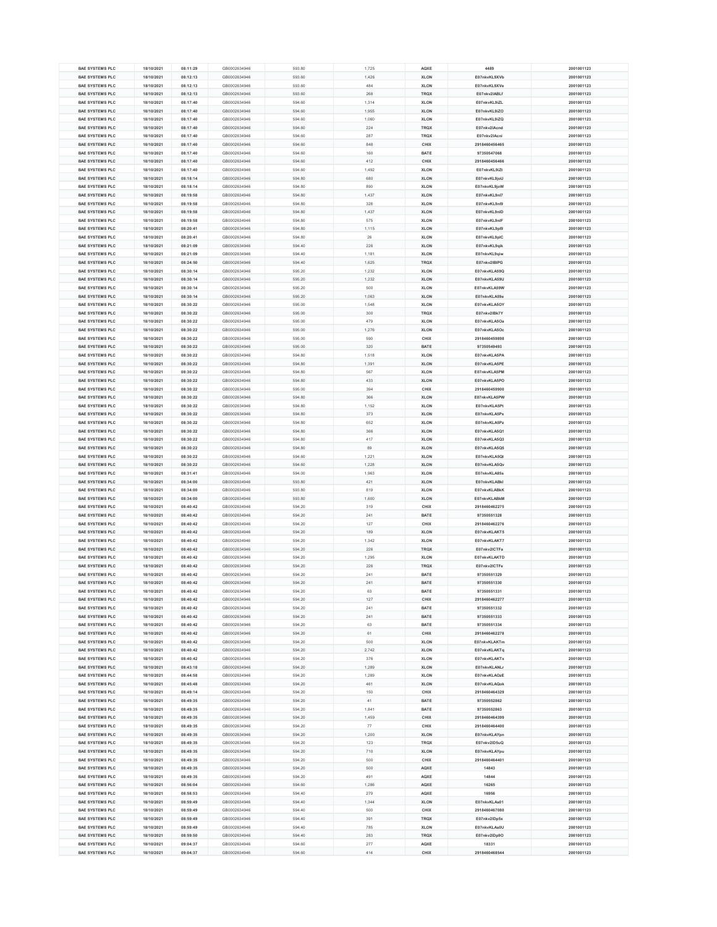| <b>BAE SYSTEMS PLC</b> | 18/10/2021 | 08:11:29 | GB0002634946 | 593.80 | 1,725 | <b>AQXE</b> | 4489          | 2001001123 |
|------------------------|------------|----------|--------------|--------|-------|-------------|---------------|------------|
|                        |            |          |              |        |       |             |               |            |
| <b>BAE SYSTEMS PLC</b> | 18/10/2021 | 08:12:13 | GB0002634946 | 593.60 | 1,426 | <b>XLON</b> | E07nkvKL9XVb  | 2001001123 |
| <b>BAE SYSTEMS PLC</b> | 18/10/2021 | 08:12:13 | GB0002634946 | 593.60 | 484   | <b>XLON</b> | E07nkvKL9XVe  | 2001001123 |
| <b>BAE SYSTEMS PLC</b> | 18/10/2021 | 08:12:13 | GB0002634946 | 593.60 | 268   | <b>TRQX</b> | E07nkv2IABLf  | 2001001123 |
| <b>BAE SYSTEMS PLC</b> | 18/10/2021 | 08:17:40 | GB0002634946 | 594.60 | 1,314 | <b>XLON</b> | E07nkvKL9iZL  | 2001001123 |
| <b>BAE SYSTEMS PLC</b> | 18/10/2021 | 08:17:40 | GB0002634946 | 594.60 | 1,955 | <b>XLON</b> | E07nkvKL9iZO  | 2001001123 |
|                        |            |          |              |        |       |             |               |            |
| <b>BAE SYSTEMS PLC</b> | 18/10/2021 | 08:17:40 | GB0002634946 | 594.60 | 1,060 | <b>XLON</b> | E07nkvKL9iZQ  | 2001001123 |
| <b>BAE SYSTEMS PLC</b> | 18/10/2021 | 08:17:40 | GB0002634946 | 594.60 | 224   | <b>TRQX</b> | E07nkv2lAcnd  | 2001001123 |
| <b>BAE SYSTEMS PLC</b> | 18/10/2021 | 08:17:40 | GB0002634946 | 594.60 | 287   | <b>TRQX</b> | E07nkv2lAcni  | 2001001123 |
| <b>BAE SYSTEMS PLC</b> | 18/10/2021 | 08:17:40 | GB0002634946 | 594.60 | 848   | <b>CHIX</b> | 2918460456465 | 2001001123 |
| <b>BAE SYSTEMS PLC</b> | 18/10/2021 | 08:17:40 | GB0002634946 | 594.60 | 160   | <b>BATE</b> | 97350547068   | 2001001123 |
|                        |            |          |              |        |       |             |               |            |
| <b>BAE SYSTEMS PLC</b> | 18/10/2021 | 08:17:40 | GB0002634946 | 594.60 | 412   | <b>CHIX</b> | 2918460456466 | 2001001123 |
| <b>BAE SYSTEMS PLC</b> | 18/10/2021 | 08:17:40 | GB0002634946 | 594.60 | 1,492 | <b>XLON</b> | E07nkvKL9iZt  | 2001001123 |
| <b>BAE SYSTEMS PLC</b> | 18/10/2021 | 08:18:14 | GB0002634946 | 594.80 | 680   | <b>XLON</b> | E07nkvKL9joU  | 2001001123 |
| <b>BAE SYSTEMS PLC</b> | 18/10/2021 | 08:18:14 | GB0002634946 | 594.80 | 890   | <b>XLON</b> | E07nkvKL9joW  | 2001001123 |
| <b>BAE SYSTEMS PLC</b> | 18/10/2021 | 08:19:58 | GB0002634946 | 594.80 | 1,437 | <b>XLON</b> | E07nkvKL9nl7  | 2001001123 |
|                        |            |          |              |        |       |             |               |            |
| <b>BAE SYSTEMS PLC</b> | 18/10/2021 | 08:19:58 | GB0002634946 | 594.80 | 328   | <b>XLON</b> | E07nkvKL9nl9  | 2001001123 |
| <b>BAE SYSTEMS PLC</b> | 18/10/2021 | 08:19:58 | GB0002634946 | 594.80 | 1,437 | <b>XLON</b> | E07nkvKL9nID  | 2001001123 |
| <b>BAE SYSTEMS PLC</b> | 18/10/2021 | 08:19:58 | GB0002634946 | 594.80 | 575   | <b>XLON</b> | E07nkvKL9nIF  | 2001001123 |
| <b>BAE SYSTEMS PLC</b> | 18/10/2021 | 08:20:41 | GB0002634946 | 594.80 | 1,115 | <b>XLON</b> | E07nkvKL9pl9  | 2001001123 |
| <b>BAE SYSTEMS PLC</b> | 18/10/2021 | 08:20:41 | GB0002634946 | 594.80 | 26    | <b>XLON</b> | E07nkvKL9pIC  | 2001001123 |
|                        |            |          |              |        |       |             |               |            |
| <b>BAE SYSTEMS PLC</b> | 18/10/2021 | 08:21:09 | GB0002634946 | 594.40 | 226   | <b>XLON</b> | E07nkvKL9qik  | 2001001123 |
| <b>BAE SYSTEMS PLC</b> | 18/10/2021 | 08:21:09 | GB0002634946 | 594.40 | 1,181 | <b>XLON</b> | E07nkvKL9qiw  | 2001001123 |
| <b>BAE SYSTEMS PLC</b> | 18/10/2021 | 08:24:50 | GB0002634946 | 594.40 | 1,625 | <b>TRQX</b> | E07nkv2IBIPG  | 2001001123 |
| <b>BAE SYSTEMS PLC</b> | 18/10/2021 | 08:30:14 | GB0002634946 | 595.20 | 1,232 | <b>XLON</b> | E07nkvKLA59Q  | 2001001123 |
| <b>BAE SYSTEMS PLC</b> | 18/10/2021 | 08:30:14 | GB0002634946 | 595.20 | 1,232 | <b>XLON</b> | E07nkvKLA59U  | 2001001123 |
|                        |            |          |              |        |       |             |               |            |
| <b>BAE SYSTEMS PLC</b> | 18/10/2021 | 08:30:14 | GB0002634946 | 595.20 | 500   | <b>XLON</b> | E07nkvKLA59W  | 2001001123 |
| <b>BAE SYSTEMS PLC</b> | 18/10/2021 | 08:30:14 | GB0002634946 | 595.20 | 1,063 | <b>XLON</b> | E07nkvKLA59e  | 2001001123 |
| <b>BAE SYSTEMS PLC</b> | 18/10/2021 | 08:30:22 | GB0002634946 | 595.00 | 1,548 | <b>XLON</b> | E07nkvKLA5OY  | 2001001123 |
| <b>BAE SYSTEMS PLC</b> | 18/10/2021 | 08:30:22 | GB0002634946 | 595.00 | 300   | <b>TRQX</b> | E07nkv2lBk7Y  | 2001001123 |
| <b>BAE SYSTEMS PLC</b> | 18/10/2021 | 08:30:22 | GB0002634946 | 595.00 | 479   | <b>XLON</b> | E07nkvKLA5Oa  | 2001001123 |
|                        |            |          |              |        |       |             |               |            |
| <b>BAE SYSTEMS PLC</b> | 18/10/2021 | 08:30:22 | GB0002634946 | 595.00 | 1,276 | <b>XLON</b> | E07nkvKLA5Oc  | 2001001123 |
| <b>BAE SYSTEMS PLC</b> | 18/10/2021 | 08:30:22 | GB0002634946 | 595.00 | 590   | <b>CHIX</b> | 2918460459898 | 2001001123 |
| <b>BAE SYSTEMS PLC</b> | 18/10/2021 | 08:30:22 | GB0002634946 | 595.00 | 320   | <b>BATE</b> | 97350549493   | 2001001123 |
| <b>BAE SYSTEMS PLC</b> | 18/10/2021 | 08:30:22 | GB0002634946 | 594.80 | 1,518 | <b>XLON</b> | E07nkvKLA5PA  | 2001001123 |
| <b>BAE SYSTEMS PLC</b> | 18/10/2021 | 08:30:22 | GB0002634946 | 594.80 | 1,391 | <b>XLON</b> | E07nkvKLA5PE  | 2001001123 |
|                        |            |          |              |        |       |             |               |            |
| <b>BAE SYSTEMS PLC</b> | 18/10/2021 | 08:30:22 | GB0002634946 | 594.80 | 567   | <b>XLON</b> | E07nkvKLA5PM  | 2001001123 |
| <b>BAE SYSTEMS PLC</b> | 18/10/2021 | 08:30:22 | GB0002634946 | 594.80 | 433   | <b>XLON</b> | E07nkvKLA5PO  | 2001001123 |
| <b>BAE SYSTEMS PLC</b> | 18/10/2021 | 08:30:22 | GB0002634946 | 595.00 | 394   | <b>CHIX</b> | 2918460459900 | 2001001123 |
| <b>BAE SYSTEMS PLC</b> | 18/10/2021 | 08:30:22 | GB0002634946 | 594.80 | 366   | <b>XLON</b> | E07nkvKLA5PW  | 2001001123 |
|                        |            |          |              |        |       |             |               |            |
| <b>BAE SYSTEMS PLC</b> | 18/10/2021 | 08:30:22 | GB0002634946 | 594.80 | 1,152 | <b>XLON</b> | E07nkvKLA5Pt  | 2001001123 |
| <b>BAE SYSTEMS PLC</b> | 18/10/2021 | 08:30:22 | GB0002634946 | 594.80 | 373   | <b>XLON</b> | E07nkvKLA5Px  | 2001001123 |
| <b>BAE SYSTEMS PLC</b> | 18/10/2021 | 08:30:22 | GB0002634946 | 594.80 | 652   | <b>XLON</b> | E07nkvKLA5Pz  | 2001001123 |
| <b>BAE SYSTEMS PLC</b> | 18/10/2021 | 08:30:22 | GB0002634946 | 594.80 | 366   | <b>XLON</b> | E07nkvKLA5Q1  | 2001001123 |
| <b>BAE SYSTEMS PLC</b> | 18/10/2021 | 08:30:22 | GB0002634946 | 594.80 | 417   | <b>XLON</b> | E07nkvKLA5Q3  | 2001001123 |
|                        |            |          |              |        |       |             |               |            |
| <b>BAE SYSTEMS PLC</b> | 18/10/2021 | 08:30:22 | GB0002634946 | 594.80 | 89    | <b>XLON</b> | E07nkvKLA5Q5  | 2001001123 |
| <b>BAE SYSTEMS PLC</b> | 18/10/2021 | 08:30:22 | GB0002634946 | 594.60 | 1,221 | <b>XLON</b> | E07nkvKLA5Qt  | 2001001123 |
| <b>BAE SYSTEMS PLC</b> | 18/10/2021 | 08:30:22 | GB0002634946 | 594.60 | 1,228 | <b>XLON</b> | E07nkvKLA5Qv  | 2001001123 |
| <b>BAE SYSTEMS PLC</b> | 18/10/2021 | 08:31:41 | GB0002634946 | 594.00 | 1,963 | <b>XLON</b> | E07nkvKLA85s  | 2001001123 |
| <b>BAE SYSTEMS PLC</b> | 18/10/2021 | 08:34:00 | GB0002634946 | 593.80 | 421   | <b>XLON</b> | E07nkvKLABkl  | 2001001123 |
|                        |            |          |              |        |       |             |               |            |
| <b>BAE SYSTEMS PLC</b> | 18/10/2021 | 08:34:00 | GB0002634946 | 593.80 | 819   | <b>XLON</b> | E07nkvKLABkK  | 2001001123 |
| <b>BAE SYSTEMS PLC</b> | 18/10/2021 | 08:34:00 | GB0002634946 | 593.80 | 1,600 | <b>XLON</b> | E07nkvKLABkM  | 2001001123 |
| <b>BAE SYSTEMS PLC</b> | 18/10/2021 | 08:40:42 | GB0002634946 | 594.20 | 319   | <b>CHIX</b> | 2918460462275 | 2001001123 |
| <b>BAE SYSTEMS PLC</b> | 18/10/2021 | 08:40:42 | GB0002634946 | 594.20 | 241   | <b>BATE</b> | 97350551328   | 2001001123 |
| <b>BAE SYSTEMS PLC</b> | 18/10/2021 | 08:40:42 | GB0002634946 | 594.20 | 127   | <b>CHIX</b> | 2918460462276 | 2001001123 |
|                        |            |          |              |        |       |             |               |            |
| <b>BAE SYSTEMS PLC</b> | 18/10/2021 | 08:40:42 | GB0002634946 | 594.20 | 189   | <b>XLON</b> | E07nkvKLAKT5  | 2001001123 |
| <b>BAE SYSTEMS PLC</b> | 18/10/2021 | 08:40:42 | GB0002634946 | 594.20 | 1,342 | <b>XLON</b> | E07nkvKLAKT7  | 2001001123 |
| <b>BAE SYSTEMS PLC</b> | 18/10/2021 | 08:40:42 | GB0002634946 | 594.20 | 226   | <b>TRQX</b> | E07nkv2ICTFa  | 2001001123 |
| <b>BAE SYSTEMS PLC</b> | 18/10/2021 | 08:40:42 | GB0002634946 | 594.20 | 1,295 | <b>XLON</b> | E07nkvKLAKTD  | 2001001123 |
| <b>BAE SYSTEMS PLC</b> | 18/10/2021 | 08:40:42 | GB0002634946 | 594.20 | 226   | <b>TRQX</b> | E07nkv2ICTFe  | 2001001123 |
|                        |            |          |              |        |       |             |               |            |
| <b>BAE SYSTEMS PLC</b> | 18/10/2021 | 08:40:42 | GB0002634946 | 594.20 | 241   | <b>BATE</b> | 97350551329   | 2001001123 |
| <b>BAE SYSTEMS PLC</b> | 18/10/2021 | 08:40:42 | GB0002634946 | 594.20 | 241   | <b>BATE</b> | 97350551330   | 2001001123 |
| <b>BAE SYSTEMS PLC</b> | 18/10/2021 | 08:40:42 | GB0002634946 | 594.20 | 63    | <b>BATE</b> | 97350551331   | 2001001123 |
| <b>BAE SYSTEMS PLC</b> | 18/10/2021 | 08:40:42 | GB0002634946 | 594.20 | 127   | <b>CHIX</b> | 2918460462277 | 2001001123 |
|                        |            |          |              | 594.20 | 241   | <b>BATE</b> |               |            |
| <b>BAE SYSTEMS PLC</b> | 18/10/2021 | 08:40:42 | GB0002634946 |        |       |             | 97350551332   | 2001001123 |
| <b>BAE SYSTEMS PLC</b> | 18/10/2021 | 08:40:42 | GB0002634946 | 594.20 | 241   | <b>BATE</b> | 97350551333   | 2001001123 |
| <b>BAE SYSTEMS PLC</b> | 18/10/2021 | 08:40:42 | GB0002634946 | 594.20 | 63    | <b>BATE</b> | 97350551334   | 2001001123 |
| <b>BAE SYSTEMS PLC</b> | 18/10/2021 | 08:40:42 | GB0002634946 | 594.20 | 61    | <b>CHIX</b> | 2918460462278 | 2001001123 |
| <b>BAE SYSTEMS PLC</b> | 18/10/2021 | 08:40:42 | GB0002634946 | 594.20 | 500   | <b>XLON</b> | E07nkvKLAKTm  | 2001001123 |
| <b>BAE SYSTEMS PLC</b> | 18/10/2021 | 08:40:42 | GB0002634946 | 594.20 | 2,742 | <b>XLON</b> | E07nkvKLAKTq  | 2001001123 |
|                        |            |          |              |        |       |             |               |            |
| <b>BAE SYSTEMS PLC</b> | 18/10/2021 | 08:40:42 | GB0002634946 | 594.20 | 376   | <b>XLON</b> | E07nkvKLAKTx  | 2001001123 |
| <b>BAE SYSTEMS PLC</b> | 18/10/2021 | 08:43:18 | GB0002634946 | 594.20 | 1,289 | <b>XLON</b> | E07nkvKLANLr  | 2001001123 |
| <b>BAE SYSTEMS PLC</b> | 18/10/2021 | 08:44:58 | GB0002634946 | 594.20 | 1,289 | <b>XLON</b> | E07nkvKLAOzE  | 2001001123 |
| <b>BAE SYSTEMS PLC</b> | 18/10/2021 | 08:45:48 | GB0002634946 | 594.20 | 461   | <b>XLON</b> | E07nkvKLAQok  | 2001001123 |
| <b>BAE SYSTEMS PLC</b> | 18/10/2021 | 08:49:14 | GB0002634946 | 594.20 | 150   | <b>CHIX</b> | 2918460464329 | 2001001123 |
|                        |            |          |              |        |       |             |               |            |
| <b>BAE SYSTEMS PLC</b> | 18/10/2021 | 08:49:35 | GB0002634946 | 594.20 | 41    | <b>BATE</b> | 97350552862   | 2001001123 |
| <b>BAE SYSTEMS PLC</b> | 18/10/2021 | 08:49:35 | GB0002634946 | 594.20 | 1,841 | <b>BATE</b> | 97350552863   | 2001001123 |
| <b>BAE SYSTEMS PLC</b> | 18/10/2021 | 08:49:35 | GB0002634946 | 594.20 | 1,459 | <b>CHIX</b> | 2918460464399 | 2001001123 |
| <b>BAE SYSTEMS PLC</b> | 18/10/2021 | 08:49:35 | GB0002634946 | 594.20 | 77    | <b>CHIX</b> | 2918460464400 | 2001001123 |
| <b>BAE SYSTEMS PLC</b> | 18/10/2021 | 08:49:35 | GB0002634946 | 594.20 | 1,200 | <b>XLON</b> | E07nkvKLAYpn  | 2001001123 |
|                        |            |          |              |        |       |             |               |            |
| <b>BAE SYSTEMS PLC</b> | 18/10/2021 | 08:49:35 | GB0002634946 | 594.20 | 123   | <b>TRQX</b> | E07nkv2ID5uQ  | 2001001123 |
| <b>BAE SYSTEMS PLC</b> | 18/10/2021 | 08:49:35 | GB0002634946 | 594.20 | 710   | <b>XLON</b> | E07nkvKLAYpu  | 2001001123 |
| <b>BAE SYSTEMS PLC</b> |            |          |              | 594.20 | 500   | <b>CHIX</b> | 2918460464401 | 2001001123 |
|                        | 18/10/2021 | 08:49:35 | GB0002634946 |        |       |             |               |            |
| <b>BAE SYSTEMS PLC</b> | 18/10/2021 | 08:49:35 | GB0002634946 | 594.20 | 500   | <b>AQXE</b> | 14843         | 2001001123 |
|                        |            |          |              |        |       |             |               |            |
| <b>BAE SYSTEMS PLC</b> | 18/10/2021 | 08:49:35 | GB0002634946 | 594.20 | 491   | <b>AQXE</b> | 14844         | 2001001123 |
| <b>BAE SYSTEMS PLC</b> | 18/10/2021 | 08:56:04 | GB0002634946 | 594.60 | 1,286 | <b>AQXE</b> | 16265         | 2001001123 |
| <b>BAE SYSTEMS PLC</b> | 18/10/2021 | 08:58:53 | GB0002634946 | 594.40 | 279   | <b>AQXE</b> | 16956         | 2001001123 |
| <b>BAE SYSTEMS PLC</b> | 18/10/2021 | 08:59:49 | GB0002634946 | 594.40 | 1,344 | <b>XLON</b> | E07nkvKLAs01  | 2001001123 |
| <b>BAE SYSTEMS PLC</b> | 18/10/2021 | 08:59:49 | GB0002634946 | 594.40 | 500   | <b>CHIX</b> | 2918460467080 | 2001001123 |
|                        |            |          |              |        |       |             |               |            |
| <b>BAE SYSTEMS PLC</b> | 18/10/2021 | 08:59:49 | GB0002634946 | 594.40 | 391   | <b>TRQX</b> | E07nkv2IDp5x  | 2001001123 |
| <b>BAE SYSTEMS PLC</b> | 18/10/2021 | 08:59:49 | GB0002634946 | 594.40 | 785   | <b>XLON</b> | E07nkvKLAs0U  | 2001001123 |
| <b>BAE SYSTEMS PLC</b> | 18/10/2021 | 08:59:50 | GB0002634946 | 594.40 | 283   | <b>TRQX</b> | E07nkv2lDp9O  | 2001001123 |
| <b>BAE SYSTEMS PLC</b> | 18/10/2021 | 09:04:37 | GB0002634946 | 594.60 | 277   | <b>AQXE</b> | 18331         | 2001001123 |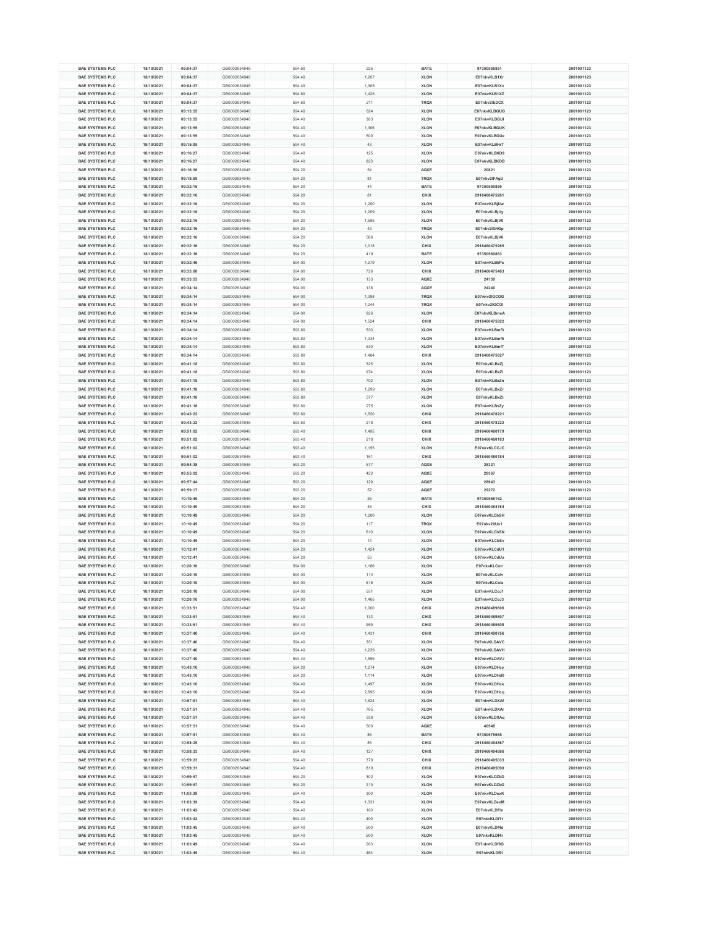| <b>BAE SYSTEMS PLC</b> | 18/10/2021 | 09:04:37 | GB0002634946 | 594.60 | 225   | <b>BATE</b> | 97350555851   | 2001001123 |
|------------------------|------------|----------|--------------|--------|-------|-------------|---------------|------------|
| <b>BAE SYSTEMS PLC</b> | 18/10/2021 | 09:04:37 | GB0002634946 | 594.40 | 1,207 | <b>XLON</b> | E07nkvKLB1Xr  | 2001001123 |
| <b>BAE SYSTEMS PLC</b> | 18/10/2021 | 09:04:37 | GB0002634946 | 594.40 | 1,306 | <b>XLON</b> | E07nkvKLB1Xv  | 2001001123 |
|                        |            |          |              |        |       |             |               |            |
| <b>BAE SYSTEMS PLC</b> | 18/10/2021 | 09:04:37 | GB0002634946 | 594.60 | 1,426 | <b>XLON</b> | E07nkvKLB1XZ  | 2001001123 |
| <b>BAE SYSTEMS PLC</b> | 18/10/2021 | 09:04:37 | GB0002634946 | 594.60 | 211   | <b>TRQX</b> | E07nkv2IEDCX  | 2001001123 |
| <b>BAE SYSTEMS PLC</b> | 18/10/2021 | 09:13:55 | GB0002634946 | 594.40 | 824   | <b>XLON</b> | E07nkvKLBGUG  | 2001001123 |
|                        |            |          |              |        |       |             |               |            |
| <b>BAE SYSTEMS PLC</b> | 18/10/2021 | 09:13:55 | GB0002634946 | 594.40 | 383   | <b>XLON</b> | E07nkvKLBGUI  | 2001001123 |
| <b>BAE SYSTEMS PLC</b> | 18/10/2021 | 09:13:55 | GB0002634946 | 594.40 | 1,306 | <b>XLON</b> | E07nkvKLBGUK  | 2001001123 |
| <b>BAE SYSTEMS PLC</b> | 18/10/2021 | 09:13:55 | GB0002634946 | 594.40 | 500   | <b>XLON</b> | E07nkvKLBGUe  | 2001001123 |
|                        |            |          |              |        |       |             |               |            |
| <b>BAE SYSTEMS PLC</b> | 18/10/2021 | 09:15:05 | GB0002634946 | 594.40 | 43    | <b>XLON</b> | E07nkvKLBHrT  | 2001001123 |
| <b>BAE SYSTEMS PLC</b> | 18/10/2021 | 09:16:27 | GB0002634946 | 594.40 | 125   | <b>XLON</b> | E07nkvKLBKD9  | 2001001123 |
| <b>BAE SYSTEMS PLC</b> | 18/10/2021 | 09:16:27 | GB0002634946 | 594.40 | 823   | <b>XLON</b> | E07nkvKLBKDB  | 2001001123 |
|                        |            |          |              |        |       |             |               |            |
| <b>BAE SYSTEMS PLC</b> | 18/10/2021 | 09:16:36 | GB0002634946 | 594.20 | 54    | <b>AQXE</b> | 20821         | 2001001123 |
| <b>BAE SYSTEMS PLC</b> | 18/10/2021 | 09:18:59 | GB0002634946 | 594.20 | 81    | <b>TRQX</b> | E07nkv2lFAgU  | 2001001123 |
| <b>BAE SYSTEMS PLC</b> | 18/10/2021 | 09:32:16 | GB0002634946 | 594.20 | 44    | <b>BATE</b> | 97350560859   | 2001001123 |
|                        |            |          |              |        |       |             |               |            |
| <b>BAE SYSTEMS PLC</b> | 18/10/2021 | 09:32:16 | GB0002634946 | 594.20 | 81    | <b>CHIX</b> | 2918460475261 | 2001001123 |
| <b>BAE SYSTEMS PLC</b> | 18/10/2021 | 09:32:16 | GB0002634946 | 594.20 | 1,200 | <b>XLON</b> | E07nkvKLBjUw  | 2001001123 |
|                        |            |          |              |        |       |             |               |            |
| <b>BAE SYSTEMS PLC</b> | 18/10/2021 | 09:32:16 | GB0002634946 | 594.20 | 1,209 | <b>XLON</b> | E07nkvKLBjUy  | 2001001123 |
| <b>BAE SYSTEMS PLC</b> | 18/10/2021 | 09:32:16 | GB0002634946 | 594.20 | 1,595 | <b>XLON</b> | E07nkvKLBjV0  | 2001001123 |
| <b>BAE SYSTEMS PLC</b> | 18/10/2021 | 09:32:16 | GB0002634946 | 594.20 | 43    | <b>TRQX</b> | E07nkv2lG4Gp  | 2001001123 |
| <b>BAE SYSTEMS PLC</b> |            |          |              | 594.20 | 566   |             |               |            |
|                        | 18/10/2021 | 09:32:16 | GB0002634946 |        |       | <b>XLON</b> | E07nkvKLBjV6  | 2001001123 |
| <b>BAE SYSTEMS PLC</b> | 18/10/2021 | 09:32:16 | GB0002634946 | 594.20 | 1,018 | <b>CHIX</b> | 2918460475265 | 2001001123 |
| <b>BAE SYSTEMS PLC</b> | 18/10/2021 | 09:32:16 | GB0002634946 | 594.20 | 419   | <b>BATE</b> | 97350560863   | 2001001123 |
|                        |            |          |              |        |       |             |               |            |
| <b>BAE SYSTEMS PLC</b> | 18/10/2021 | 09:32:46 | GB0002634946 | 594.00 | 1,279 | <b>XLON</b> | E07nkvKLBkPs  | 2001001123 |
| <b>BAE SYSTEMS PLC</b> | 18/10/2021 | 09:33:08 | GB0002634946 | 594.00 | 726   | <b>CHIX</b> | 2918460475463 | 2001001123 |
| <b>BAE SYSTEMS PLC</b> | 18/10/2021 | 09:33:53 | GB0002634946 | 594.00 | 133   | <b>AQXE</b> | 24159         | 2001001123 |
|                        |            |          |              |        |       |             |               |            |
| <b>BAE SYSTEMS PLC</b> | 18/10/2021 | 09:34:14 | GB0002634946 | 594.00 | 136   | <b>AQXE</b> | 24240         | 2001001123 |
| <b>BAE SYSTEMS PLC</b> | 18/10/2021 | 09:34:14 | GB0002634946 | 594.00 | 1,098 | <b>TRQX</b> | E07nkv2IGCOG  | 2001001123 |
| <b>BAE SYSTEMS PLC</b> | 18/10/2021 | 09:34:14 | GB0002634946 | 594.00 | 1,244 | <b>TRQX</b> | E07nkv2IGCOI  | 2001001123 |
|                        |            |          |              |        |       |             |               |            |
| <b>BAE SYSTEMS PLC</b> | 18/10/2021 | 09:34:14 | GB0002634946 | 594.00 | 926   | <b>XLON</b> | E07nkvKLBmeA  | 2001001123 |
| <b>BAE SYSTEMS PLC</b> | 18/10/2021 | 09:34:14 | GB0002634946 | 594.00 | 1,524 | <b>CHIX</b> | 2918460475822 | 2001001123 |
| <b>BAE SYSTEMS PLC</b> | 18/10/2021 | 09:34:14 | GB0002634946 | 593.80 | 530   | <b>XLON</b> | E07nkvKLBmf3  | 2001001123 |
|                        |            |          |              |        |       |             |               |            |
| <b>BAE SYSTEMS PLC</b> | 18/10/2021 | 09:34:14 | GB0002634946 | 593.80 | 1,034 | <b>XLON</b> | E07nkvKLBmf5  | 2001001123 |
| <b>BAE SYSTEMS PLC</b> | 18/10/2021 | 09:34:14 | GB0002634946 | 593.80 | 530   | <b>XLON</b> | E07nkvKLBmf7  | 2001001123 |
|                        |            |          |              |        |       |             |               |            |
| <b>BAE SYSTEMS PLC</b> | 18/10/2021 | 09:34:14 | GB0002634946 | 593.80 | 1,464 | <b>CHIX</b> | 2918460475827 | 2001001123 |
| <b>BAE SYSTEMS PLC</b> | 18/10/2021 | 09:41:18 | GB0002634946 | 593.80 | 325   | <b>XLON</b> | E07nkvKLBxZj  | 2001001123 |
| <b>BAE SYSTEMS PLC</b> | 18/10/2021 | 09:41:18 | GB0002634946 | 593.80 | 974   | <b>XLON</b> | E07nkvKLBxZI  | 2001001123 |
|                        |            |          |              |        |       |             |               |            |
| <b>BAE SYSTEMS PLC</b> | 18/10/2021 | 09:41:18 | GB0002634946 | 593.80 | 702   | <b>XLON</b> | E07nkvKLBxZn  | 2001001123 |
| <b>BAE SYSTEMS PLC</b> | 18/10/2021 | 09:41:18 | GB0002634946 | 593.80 | 1,299 | <b>XLON</b> | E07nkvKLBxZr  | 2001001123 |
| <b>BAE SYSTEMS PLC</b> | 18/10/2021 | 09:41:18 | GB0002634946 | 593.80 | 377   | <b>XLON</b> | E07nkvKLBxZt  | 2001001123 |
|                        |            |          |              |        |       |             |               |            |
| <b>BAE SYSTEMS PLC</b> | 18/10/2021 | 09:41:18 | GB0002634946 | 593.80 | 275   | <b>XLON</b> | E07nkvKLBxZy  | 2001001123 |
| <b>BAE SYSTEMS PLC</b> | 18/10/2021 | 09:43:22 | GB0002634946 | 593.60 | 1,520 | <b>CHIX</b> | 2918460478221 | 2001001123 |
| <b>BAE SYSTEMS PLC</b> | 18/10/2021 | 09:43:22 | GB0002634946 | 593.60 | 218   | <b>CHIX</b> | 2918460478222 | 2001001123 |
|                        |            |          |              |        |       |             |               |            |
| <b>BAE SYSTEMS PLC</b> | 18/10/2021 | 09:51:02 | GB0002634946 | 593.40 | 1,495 | <b>CHIX</b> | 2918460480179 | 2001001123 |
|                        |            |          |              |        |       |             |               |            |
| <b>BAE SYSTEMS PLC</b> | 18/10/2021 | 09:51:02 | GB0002634946 | 593.40 | 218   | <b>CHIX</b> | 2918460480183 | 2001001123 |
|                        |            |          |              |        |       |             |               |            |
| <b>BAE SYSTEMS PLC</b> | 18/10/2021 | 09:51:02 | GB0002634946 | 593.40 | 1,155 | <b>XLON</b> | E07nkvKLCCJC  | 2001001123 |
| <b>BAE SYSTEMS PLC</b> | 18/10/2021 | 09:51:02 | GB0002634946 | 593.40 | 161   | <b>CHIX</b> | 2918460480184 | 2001001123 |
| <b>BAE SYSTEMS PLC</b> | 18/10/2021 | 09:54:38 | GB0002634946 | 593.20 | 577   | <b>AQXE</b> | 28321         | 2001001123 |
|                        |            |          |              |        |       |             |               |            |
| <b>BAE SYSTEMS PLC</b> | 18/10/2021 | 09:55:02 | GB0002634946 | 593.20 | 422   | <b>AQXE</b> | 28367         | 2001001123 |
| <b>BAE SYSTEMS PLC</b> | 18/10/2021 | 09:57:44 | GB0002634946 | 593.20 | 129   | <b>AQXE</b> | 28943         | 2001001123 |
| <b>BAE SYSTEMS PLC</b> | 18/10/2021 | 09:59:17 | GB0002634946 | 593.20 | 52    | <b>AQXE</b> | 29272         | 2001001123 |
|                        |            |          |              |        |       |             |               |            |
| <b>BAE SYSTEMS PLC</b> | 18/10/2021 | 10:10:49 | GB0002634946 | 594.20 | 26    | <b>BATE</b> | 97350568162   | 2001001123 |
| <b>BAE SYSTEMS PLC</b> | 18/10/2021 | 10:10:49 | GB0002634946 | 594.20 | 48    | <b>CHIX</b> | 2918460484764 | 2001001123 |
| <b>BAE SYSTEMS PLC</b> | 18/10/2021 | 10:10:49 | GB0002634946 | 594.20 | 1,200 | <b>XLON</b> | E07nkvKLCbSH  | 2001001123 |
|                        |            |          |              |        |       |             |               |            |
| <b>BAE SYSTEMS PLC</b> | 18/10/2021 | 10:10:49 | GB0002634946 | 594.20 | 117   | <b>TRQX</b> | E07nkv2IIUo1  | 2001001123 |
| <b>BAE SYSTEMS PLC</b> | 18/10/2021 | 10:10:49 | GB0002634946 | 594.20 | 610   | <b>XLON</b> | E07nkvKLCbSN  | 2001001123 |
| <b>BAE SYSTEMS PLC</b> | 18/10/2021 | 10:10:49 | GB0002634946 | 594.20 | 14    | <b>XLON</b> | E07nkvKLCbSv  | 2001001123 |
|                        |            |          |              |        |       |             |               |            |
| <b>BAE SYSTEMS PLC</b> | 18/10/2021 | 10:12:41 | GB0002634946 | 594.20 | 1,424 | <b>XLON</b> | E07nkvKLCdU1  | 2001001123 |
| <b>BAE SYSTEMS PLC</b> | 18/10/2021 | 10:12:41 | GB0002634946 | 594.20 | 53    | <b>XLON</b> | E07nkvKLCdUa  | 2001001123 |
| <b>BAE SYSTEMS PLC</b> | 18/10/2021 | 10:20:10 | GB0002634946 | 594.00 | 1,186 | <b>XLON</b> | E07nkvKLColr  | 2001001123 |
|                        |            |          |              |        |       |             |               |            |
| <b>BAE SYSTEMS PLC</b> | 18/10/2021 | 10:20:10 | GB0002634946 | 594.00 | 114   | <b>XLON</b> | E07nkvKLColv  | 2001001123 |
| <b>BAE SYSTEMS PLC</b> | 18/10/2021 | 10:20:10 | GB0002634946 | 594.00 | 616   | <b>XLON</b> | E07nkvKLColz  | 2001001123 |
|                        |            |          |              |        |       |             |               |            |
| <b>BAE SYSTEMS PLC</b> | 18/10/2021 | 10:20:10 | GB0002634946 | 594.00 | 551   | <b>XLON</b> | E07nkvKLCoJ1  | 2001001123 |
| <b>BAE SYSTEMS PLC</b> | 18/10/2021 | 10:20:10 | GB0002634946 | 594.00 | 1,465 | <b>XLON</b> | E07nkvKLCoJ3  | 2001001123 |
| <b>BAE SYSTEMS PLC</b> | 18/10/2021 | 10:33:51 | GB0002634946 | 594.40 | 1,000 | <b>CHIX</b> | 2918460489806 | 2001001123 |
|                        |            |          |              |        |       |             |               |            |
| <b>BAE SYSTEMS PLC</b> | 18/10/2021 | 10:33:51 | GB0002634946 | 594.40 | 132   | <b>CHIX</b> | 2918460489807 | 2001001123 |
| <b>BAE SYSTEMS PLC</b> | 18/10/2021 | 10:33:51 | GB0002634946 | 594.40 | 959   | <b>CHIX</b> | 2918460489808 | 2001001123 |
| <b>BAE SYSTEMS PLC</b> | 18/10/2021 | 10:37:40 | GB0002634946 | 594.40 | 1,431 | <b>CHIX</b> | 2918460490756 | 2001001123 |
|                        |            |          |              |        |       |             |               |            |
| <b>BAE SYSTEMS PLC</b> | 18/10/2021 | 10:37:40 | GB0002634946 | 594.40 | 351   | <b>XLON</b> | E07nkvKLDAVC  | 2001001123 |
| <b>BAE SYSTEMS PLC</b> | 18/10/2021 | 10:37:40 | GB0002634946 | 594.40 | 1,229 | <b>XLON</b> | E07nkvKLDAVH  | 2001001123 |
| <b>BAE SYSTEMS PLC</b> | 18/10/2021 | 10:37:40 | GB0002634946 | 594.40 | 1,559 | <b>XLON</b> | E07nkvKLDAVJ  | 2001001123 |
|                        |            |          |              |        |       |             |               |            |
| <b>BAE SYSTEMS PLC</b> | 18/10/2021 | 10:43:10 | GB0002634946 | 594.20 | 1,274 | <b>XLON</b> | E07nkvKLDHcy  | 2001001123 |
| <b>BAE SYSTEMS PLC</b> | 18/10/2021 | 10:43:10 | GB0002634946 | 594.20 | 1,114 | <b>XLON</b> | E07nkvKLDHd0  | 2001001123 |
| <b>BAE SYSTEMS PLC</b> | 18/10/2021 | 10:43:10 | GB0002634946 | 594.40 | 1,497 | <b>XLON</b> | E07nkvKLDHce  | 2001001123 |
|                        |            |          |              |        |       |             |               |            |
| <b>BAE SYSTEMS PLC</b> | 18/10/2021 | 10:43:10 | GB0002634946 | 594.40 | 2,895 | <b>XLON</b> | E07nkvKLDHcq  | 2001001123 |
| <b>BAE SYSTEMS PLC</b> | 18/10/2021 | 10:57:51 | GB0002634946 | 594.40 | 1,624 | <b>XLON</b> | E07nkvKLDXAf  | 2001001123 |
|                        |            |          |              |        |       |             |               |            |
| <b>BAE SYSTEMS PLC</b> | 18/10/2021 | 10:57:51 | GB0002634946 | 594.40 | 765   | <b>XLON</b> | E07nkvKLDXAI  | 2001001123 |
| <b>BAE SYSTEMS PLC</b> | 18/10/2021 | 10:57:51 | GB0002634946 | 594.40 | 338   | <b>XLON</b> | E07nkvKLDXAq  | 2001001123 |
| <b>BAE SYSTEMS PLC</b> | 18/10/2021 | 10:57:51 | GB0002634946 | 594.40 | 500   | <b>AQXE</b> | 40548         | 2001001123 |
|                        |            |          |              |        |       |             |               |            |
| <b>BAE SYSTEMS PLC</b> | 18/10/2021 | 10:57:51 | GB0002634946 | 594.40 | 85    | <b>BATE</b> | 97350575965   | 2001001123 |
| <b>BAE SYSTEMS PLC</b> | 18/10/2021 | 10:58:25 | GB0002634946 | 594.40 | 85    | <b>CHIX</b> | 2918460494867 | 2001001123 |
| <b>BAE SYSTEMS PLC</b> | 18/10/2021 | 10:58:33 | GB0002634946 | 594.40 | 127   | <b>CHIX</b> | 2918460494886 | 2001001123 |
|                        |            |          |              |        |       |             |               |            |
| <b>BAE SYSTEMS PLC</b> | 18/10/2021 | 10:59:23 | GB0002634946 | 594.40 | 379   | <b>CHIX</b> | 2918460495033 | 2001001123 |
| <b>BAE SYSTEMS PLC</b> | 18/10/2021 | 10:59:31 | GB0002634946 | 594.40 | 819   | <b>CHIX</b> | 2918460495090 | 2001001123 |
| <b>BAE SYSTEMS PLC</b> | 18/10/2021 | 10:59:57 | GB0002634946 | 594.20 | 302   | <b>XLON</b> | E07nkvKLDZbD  | 2001001123 |
|                        |            |          |              |        |       |             |               |            |
| <b>BAE SYSTEMS PLC</b> | 18/10/2021 | 10:59:57 | GB0002634946 | 594.20 | 210   | <b>XLON</b> | E07nkvKLDZbG  | 2001001123 |
| <b>BAE SYSTEMS PLC</b> | 18/10/2021 | 11:03:39 | GB0002634946 | 594.40 | 300   | <b>XLON</b> | E07nkvKLDexK  | 2001001123 |
|                        |            |          |              |        |       |             |               |            |
| <b>BAE SYSTEMS PLC</b> | 18/10/2021 | 11:03:39 | GB0002634946 | 594.40 | 1,331 | <b>XLON</b> | E07nkvKLDexM  | 2001001123 |
| <b>BAE SYSTEMS PLC</b> | 18/10/2021 | 11:03:42 | GB0002634946 | 594.40 | 160   | <b>XLON</b> | E07nkvKLDf1n  | 2001001123 |
| <b>BAE SYSTEMS PLC</b> | 18/10/2021 | 11:03:42 | GB0002634946 | 594.40 | 400   | <b>XLON</b> | E07nkvKLDf1t  | 2001001123 |
|                        |            |          |              |        |       |             |               |            |
| <b>BAE SYSTEMS PLC</b> | 18/10/2021 | 11:03:45 | GB0002634946 | 594.40 | 500   | <b>XLON</b> | E07nkvKLDf4d  | 2001001123 |
| <b>BAE SYSTEMS PLC</b> | 18/10/2021 | 11:03:45 | GB0002634946 | 594.40 | 500   | <b>XLON</b> | E07nkvKLDf4r  | 2001001123 |
| <b>BAE SYSTEMS PLC</b> | 18/10/2021 | 11:03:49 | GB0002634946 | 594.40 | 263   | <b>XLON</b> | E07nkvKLDf9G  | 2001001123 |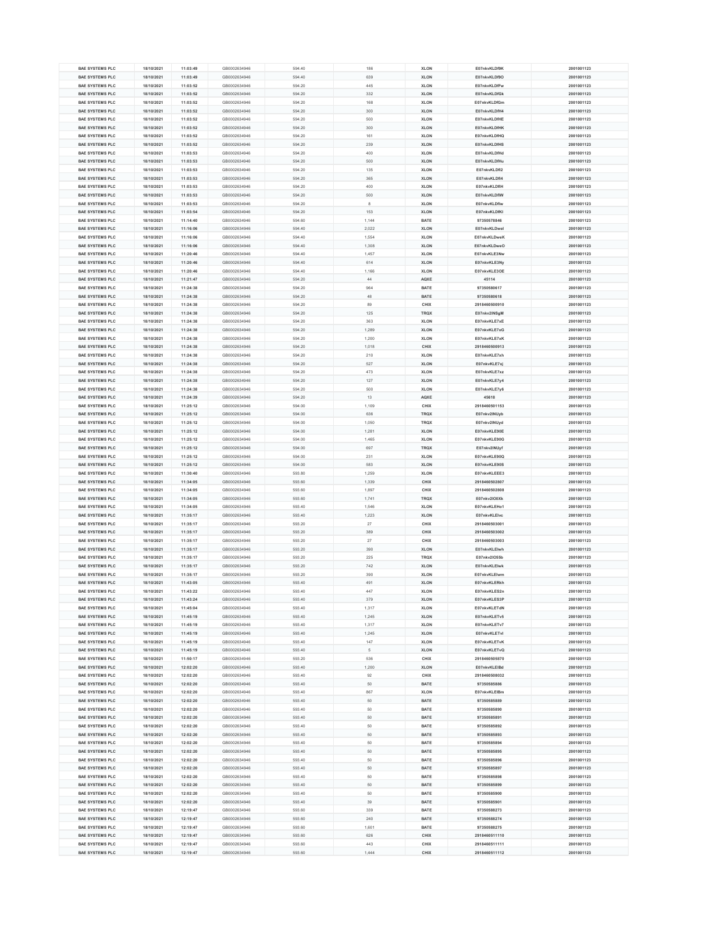| <b>BAE SYSTEMS PLC</b><br><b>BAE SYSTEMS PLC</b> | 18/10/2021 |          |              |        |       |             |               |            |
|--------------------------------------------------|------------|----------|--------------|--------|-------|-------------|---------------|------------|
|                                                  |            | 11:03:49 | GB0002634946 | 594.40 | 186   | <b>XLON</b> | E07nkvKLDf9K  | 2001001123 |
|                                                  | 18/10/2021 | 11:03:49 | GB0002634946 | 594.40 | 639   | <b>XLON</b> | E07nkvKLDf9O  | 2001001123 |
| <b>BAE SYSTEMS PLC</b>                           | 18/10/2021 | 11:03:52 | GB0002634946 | 594.20 | 445   | <b>XLON</b> | E07nkvKLDfFw  | 2001001123 |
|                                                  |            |          |              |        |       |             |               |            |
| <b>BAE SYSTEMS PLC</b>                           | 18/10/2021 | 11:03:52 | GB0002634946 | 594.20 | 332   | <b>XLON</b> | E07nkvKLDfGk  | 2001001123 |
| <b>BAE SYSTEMS PLC</b>                           | 18/10/2021 | 11:03:52 | GB0002634946 | 594.20 | 168   | <b>XLON</b> | E07nkvKLDfGm  | 2001001123 |
| <b>BAE SYSTEMS PLC</b>                           | 18/10/2021 | 11:03:52 | GB0002634946 | 594.20 | 300   | <b>XLON</b> | E07nkvKLDfH4  | 2001001123 |
|                                                  |            |          |              |        |       |             |               |            |
| <b>BAE SYSTEMS PLC</b>                           | 18/10/2021 | 11:03:52 | GB0002634946 | 594.20 | 500   | <b>XLON</b> | E07nkvKLDfHE  | 2001001123 |
| <b>BAE SYSTEMS PLC</b>                           | 18/10/2021 | 11:03:52 | GB0002634946 | 594.20 | 300   | <b>XLON</b> | E07nkvKLDfHK  | 2001001123 |
| <b>BAE SYSTEMS PLC</b>                           | 18/10/2021 | 11:03:52 | GB0002634946 | 594.20 | 161   | <b>XLON</b> | E07nkvKLDfHQ  | 2001001123 |
|                                                  |            |          |              |        |       |             |               |            |
| <b>BAE SYSTEMS PLC</b>                           | 18/10/2021 | 11:03:52 | GB0002634946 | 594.20 | 239   | <b>XLON</b> | E07nkvKLDfHS  | 2001001123 |
| <b>BAE SYSTEMS PLC</b>                           | 18/10/2021 | 11:03:53 | GB0002634946 | 594.20 | 400   | <b>XLON</b> | E07nkvKLDfHd  | 2001001123 |
| <b>BAE SYSTEMS PLC</b>                           | 18/10/2021 | 11:03:53 | GB0002634946 | 594.20 | 500   | <b>XLON</b> | E07nkvKLDfHu  | 2001001123 |
|                                                  |            |          |              |        |       |             |               |            |
| <b>BAE SYSTEMS PLC</b>                           | 18/10/2021 | 11:03:53 | GB0002634946 | 594.20 | 135   | <b>XLON</b> | E07nkvKLDfl2  | 2001001123 |
| <b>BAE SYSTEMS PLC</b>                           | 18/10/2021 | 11:03:53 | GB0002634946 | 594.20 | 365   | <b>XLON</b> | E07nkvKLDfl4  | 2001001123 |
| <b>BAE SYSTEMS PLC</b>                           | 18/10/2021 | 11:03:53 | GB0002634946 | 594.20 | 400   | <b>XLON</b> | E07nkvKLDfIH  | 2001001123 |
|                                                  |            |          |              |        |       |             |               |            |
| <b>BAE SYSTEMS PLC</b>                           | 18/10/2021 | 11:03:53 | GB0002634946 | 594.20 | 500   | <b>XLON</b> | E07nkvKLDfIW  | 2001001123 |
| <b>BAE SYSTEMS PLC</b>                           | 18/10/2021 | 11:03:53 | GB0002634946 | 594.20 | 8     | <b>XLON</b> | E07nkvKLDflw  | 2001001123 |
|                                                  |            |          |              |        |       |             |               |            |
| <b>BAE SYSTEMS PLC</b>                           | 18/10/2021 | 11:03:54 | GB0002634946 | 594.20 | 153   | <b>XLON</b> | E07nkvKLDfKI  | 2001001123 |
| <b>BAE SYSTEMS PLC</b>                           | 18/10/2021 | 11:14:40 | GB0002634946 | 594.60 | 1,144 | <b>BATE</b> | 97350578846   | 2001001123 |
| <b>BAE SYSTEMS PLC</b>                           | 18/10/2021 | 11:16:06 | GB0002634946 | 594.40 | 2,022 | <b>XLON</b> | E07nkvKLDwel  | 2001001123 |
|                                                  |            |          |              |        |       |             |               |            |
| <b>BAE SYSTEMS PLC</b>                           | 18/10/2021 | 11:16:06 | GB0002634946 | 594.40 | 1,554 | <b>XLON</b> | E07nkvKLDweK  | 2001001123 |
| <b>BAE SYSTEMS PLC</b>                           | 18/10/2021 | 11:16:06 | GB0002634946 | 594.40 | 1,308 | <b>XLON</b> | E07nkvKLDweO  | 2001001123 |
| <b>BAE SYSTEMS PLC</b>                           | 18/10/2021 | 11:20:46 | GB0002634946 | 594.40 | 1,457 | <b>XLON</b> | E07nkvKLE3Nw  | 2001001123 |
|                                                  |            |          |              |        |       |             |               |            |
| <b>BAE SYSTEMS PLC</b>                           | 18/10/2021 | 11:20:46 | GB0002634946 | 594.40 | 614   | <b>XLON</b> | E07nkvKLE3Ny  | 2001001123 |
| <b>BAE SYSTEMS PLC</b>                           | 18/10/2021 | 11:20:46 | GB0002634946 | 594.40 | 1,166 | <b>XLON</b> | E07nkvKLE3OE  | 2001001123 |
| <b>BAE SYSTEMS PLC</b>                           | 18/10/2021 | 11:21:47 | GB0002634946 | 594.20 | 44    | <b>AQXE</b> | 45114         | 2001001123 |
|                                                  |            |          |              |        |       |             |               |            |
| <b>BAE SYSTEMS PLC</b>                           | 18/10/2021 | 11:24:38 | GB0002634946 | 594.20 | 964   | <b>BATE</b> | 97350580617   | 2001001123 |
| <b>BAE SYSTEMS PLC</b>                           | 18/10/2021 | 11:24:38 | GB0002634946 | 594.20 | 48    | <b>BATE</b> | 97350580618   | 2001001123 |
| <b>BAE SYSTEMS PLC</b>                           | 18/10/2021 | 11:24:38 | GB0002634946 | 594.20 | 89    | <b>CHIX</b> | 2918460500910 | 2001001123 |
|                                                  |            |          |              |        |       |             |               |            |
| <b>BAE SYSTEMS PLC</b>                           | 18/10/2021 | 11:24:38 | GB0002634946 | 594.20 | 125   | <b>TRQX</b> | E07nkv2INSgM  | 2001001123 |
| <b>BAE SYSTEMS PLC</b>                           | 18/10/2021 | 11:24:38 | GB0002634946 | 594.20 | 363   | <b>XLON</b> | E07nkvKLE7xE  | 2001001123 |
| <b>BAE SYSTEMS PLC</b>                           | 18/10/2021 | 11:24:38 | GB0002634946 | 594.20 | 1,289 | <b>XLON</b> | E07nkvKLE7xG  | 2001001123 |
|                                                  |            |          |              |        |       |             |               |            |
| <b>BAE SYSTEMS PLC</b>                           | 18/10/2021 | 11:24:38 | GB0002634946 | 594.20 | 1,200 | <b>XLON</b> | E07nkvKLE7xK  | 2001001123 |
| <b>BAE SYSTEMS PLC</b>                           | 18/10/2021 | 11:24:38 | GB0002634946 | 594.20 | 1,018 | <b>CHIX</b> | 2918460500913 | 2001001123 |
|                                                  |            |          |              |        | 210   |             |               |            |
| <b>BAE SYSTEMS PLC</b>                           | 18/10/2021 | 11:24:38 | GB0002634946 | 594.20 |       | <b>XLON</b> | E07nkvKLE7xh  | 2001001123 |
| <b>BAE SYSTEMS PLC</b>                           | 18/10/2021 | 11:24:38 | GB0002634946 | 594.20 | 527   | <b>XLON</b> | E07nkvKLE7xj  | 2001001123 |
| <b>BAE SYSTEMS PLC</b>                           | 18/10/2021 | 11:24:38 | GB0002634946 | 594.20 | 473   | <b>XLON</b> | E07nkvKLE7xz  | 2001001123 |
|                                                  |            |          |              |        |       |             |               |            |
| <b>BAE SYSTEMS PLC</b>                           | 18/10/2021 | 11:24:38 | GB0002634946 | 594.20 | 127   | <b>XLON</b> | E07nkvKLE7y4  | 2001001123 |
| <b>BAE SYSTEMS PLC</b>                           | 18/10/2021 | 11:24:38 | GB0002634946 | 594.20 | 500   | <b>XLON</b> | E07nkvKLE7y6  | 2001001123 |
| <b>BAE SYSTEMS PLC</b>                           | 18/10/2021 | 11:24:39 | GB0002634946 | 594.20 | 13    | <b>AQXE</b> | 45618         | 2001001123 |
|                                                  |            |          |              |        |       |             |               |            |
| <b>BAE SYSTEMS PLC</b>                           | 18/10/2021 | 11:25:12 | GB0002634946 | 594.00 | 1,109 | <b>CHIX</b> | 2918460501153 | 2001001123 |
| <b>BAE SYSTEMS PLC</b>                           | 18/10/2021 | 11:25:12 | GB0002634946 | 594.00 | 636   | <b>TRQX</b> | E07nkv2INUyb  | 2001001123 |
| <b>BAE SYSTEMS PLC</b>                           | 18/10/2021 | 11:25:12 | GB0002634946 | 594.00 | 1,050 | <b>TRQX</b> | E07nkv2lNUyd  | 2001001123 |
|                                                  |            |          |              |        |       |             |               |            |
| <b>BAE SYSTEMS PLC</b>                           | 18/10/2021 | 11:25:12 | GB0002634946 | 594.00 | 1,281 | <b>XLON</b> | E07nkvKLE90E  | 2001001123 |
| <b>BAE SYSTEMS PLC</b>                           | 18/10/2021 | 11:25:12 | GB0002634946 | 594.00 | 1,465 | <b>XLON</b> | E07nkvKLE90G  | 2001001123 |
| <b>BAE SYSTEMS PLC</b>                           | 18/10/2021 | 11:25:12 | GB0002634946 | 594.00 | 697   | <b>TRQX</b> | E07nkv2INUyf  | 2001001123 |
|                                                  |            |          |              |        |       |             |               |            |
| <b>BAE SYSTEMS PLC</b>                           | 18/10/2021 | 11:25:12 | GB0002634946 | 594.00 | 231   | <b>XLON</b> | E07nkvKLE90Q  | 2001001123 |
| <b>BAE SYSTEMS PLC</b>                           | 18/10/2021 | 11:25:12 | GB0002634946 | 594.00 | 583   | <b>XLON</b> | E07nkvKLE90S  | 2001001123 |
| <b>BAE SYSTEMS PLC</b>                           | 18/10/2021 | 11:30:40 | GB0002634946 | 593.80 | 1,259 | <b>XLON</b> | E07nkvKLEEE3  | 2001001123 |
|                                                  |            |          |              |        |       |             |               |            |
| <b>BAE SYSTEMS PLC</b>                           | 18/10/2021 | 11:34:05 | GB0002634946 | 593.60 | 1,339 | <b>CHIX</b> | 2918460502807 | 2001001123 |
| <b>BAE SYSTEMS PLC</b>                           | 18/10/2021 | 11:34:05 | GB0002634946 |        |       |             |               |            |
|                                                  |            |          |              | 593.60 | 1,897 | <b>CHIX</b> | 2918460502808 | 2001001123 |
|                                                  |            |          |              |        |       |             |               |            |
| <b>BAE SYSTEMS PLC</b>                           | 18/10/2021 | 11:34:05 | GB0002634946 | 593.60 | 1,741 | <b>TRQX</b> | E07nkv2IO0Xk  | 2001001123 |
| <b>BAE SYSTEMS PLC</b>                           | 18/10/2021 | 11:34:05 | GB0002634946 | 593.40 | 1,546 | <b>XLON</b> | E07nkvKLEHo1  | 2001001123 |
| <b>BAE SYSTEMS PLC</b>                           | 18/10/2021 | 11:35:17 | GB0002634946 | 593.40 |       |             | E07nkvKLEIvc  | 2001001123 |
|                                                  |            |          |              |        | 1,223 | <b>XLON</b> |               |            |
| <b>BAE SYSTEMS PLC</b>                           | 18/10/2021 | 11:35:17 | GB0002634946 | 593.20 | 27    | <b>CHIX</b> | 2918460503001 | 2001001123 |
| <b>BAE SYSTEMS PLC</b>                           | 18/10/2021 | 11:35:17 | GB0002634946 | 593.20 | 389   | <b>CHIX</b> | 2918460503002 | 2001001123 |
| <b>BAE SYSTEMS PLC</b>                           | 18/10/2021 | 11:35:17 | GB0002634946 | 593.20 | 27    | <b>CHIX</b> | 2918460503003 | 2001001123 |
|                                                  |            |          |              |        |       |             |               |            |
| <b>BAE SYSTEMS PLC</b>                           | 18/10/2021 | 11:35:17 | GB0002634946 | 593.20 | 390   | <b>XLON</b> | E07nkvKLEIwh  | 2001001123 |
| <b>BAE SYSTEMS PLC</b>                           | 18/10/2021 | 11:35:17 | GB0002634946 | 593.20 | 225   | <b>TRQX</b> | E07nkv2IO55b  | 2001001123 |
| <b>BAE SYSTEMS PLC</b>                           | 18/10/2021 | 11:35:17 | GB0002634946 | 593.20 | 742   | <b>XLON</b> | E07nkvKLEIwk  | 2001001123 |
|                                                  |            |          |              |        |       |             |               |            |
| <b>BAE SYSTEMS PLC</b>                           | 18/10/2021 | 11:35:17 | GB0002634946 | 593.20 | 390   | <b>XLON</b> | E07nkvKLEIwm  | 2001001123 |
| <b>BAE SYSTEMS PLC</b>                           | 18/10/2021 | 11:43:05 | GB0002634946 | 593.40 | 491   | <b>XLON</b> | E07nkvKLERkh  | 2001001123 |
|                                                  |            |          |              |        |       |             |               |            |
| <b>BAE SYSTEMS PLC</b>                           | 18/10/2021 | 11:43:22 | GB0002634946 | 593.40 | 447   | <b>XLON</b> | E07nkvKLES2n  | 2001001123 |
| <b>BAE SYSTEMS PLC</b>                           | 18/10/2021 | 11:43:24 | GB0002634946 | 593.40 | 379   | <b>XLON</b> | E07nkvKLES3P  | 2001001123 |
| <b>BAE SYSTEMS PLC</b>                           | 18/10/2021 | 11:45:04 | GB0002634946 | 593.40 | 1,317 | <b>XLON</b> | E07nkvKLETdN  | 2001001123 |
| <b>BAE SYSTEMS PLC</b>                           | 18/10/2021 | 11:45:19 | GB0002634946 | 593.40 | 1,245 | <b>XLON</b> | E07nkvKLETv5  | 2001001123 |
|                                                  |            |          |              |        |       |             |               |            |
| <b>BAE SYSTEMS PLC</b>                           | 18/10/2021 | 11:45:19 | GB0002634946 | 593.40 | 1,317 | <b>XLON</b> | E07nkvKLETv7  | 2001001123 |
| <b>BAE SYSTEMS PLC</b>                           | 18/10/2021 | 11:45:19 | GB0002634946 | 593.40 | 1,245 | <b>XLON</b> | E07nkvKLETvl  | 2001001123 |
|                                                  |            |          |              |        |       |             |               |            |
| <b>BAE SYSTEMS PLC</b>                           | 18/10/2021 | 11:45:19 | GB0002634946 | 593.40 | 147   | <b>XLON</b> | E07nkvKLETvK  | 2001001123 |
| <b>BAE SYSTEMS PLC</b>                           | 18/10/2021 | 11:45:19 | GB0002634946 | 593.40 | 5     | <b>XLON</b> | E07nkvKLETvQ  | 2001001123 |
| <b>BAE SYSTEMS PLC</b>                           | 18/10/2021 | 11:50:17 | GB0002634946 | 593.20 | 536   | <b>CHIX</b> | 2918460505870 | 2001001123 |
|                                                  |            |          |              |        |       |             |               |            |
| <b>BAE SYSTEMS PLC</b>                           | 18/10/2021 | 12:02:20 | GB0002634946 | 593.40 | 1,200 | <b>XLON</b> | E07nkvKLEIBd  | 2001001123 |
| <b>BAE SYSTEMS PLC</b>                           | 18/10/2021 | 12:02:20 | GB0002634946 | 593.40 | 92    | <b>CHIX</b> | 2918460508032 | 2001001123 |
| <b>BAE SYSTEMS PLC</b>                           | 18/10/2021 | 12:02:20 | GB0002634946 | 593.40 | 50    | <b>BATE</b> | 97350585886   | 2001001123 |
|                                                  |            |          |              |        |       |             |               |            |
| <b>BAE SYSTEMS PLC</b>                           | 18/10/2021 | 12:02:20 | GB0002634946 | 593.40 | 867   | <b>XLON</b> | E07nkvKLEIBm  | 2001001123 |
| <b>BAE SYSTEMS PLC</b>                           | 18/10/2021 | 12:02:20 | GB0002634946 | 593.40 | 50    | <b>BATE</b> | 97350585889   | 2001001123 |
| <b>BAE SYSTEMS PLC</b>                           | 18/10/2021 | 12:02:20 | GB0002634946 | 593.40 | 50    | <b>BATE</b> | 97350585890   | 2001001123 |
|                                                  |            |          |              |        |       |             |               |            |
| <b>BAE SYSTEMS PLC</b>                           | 18/10/2021 | 12:02:20 | GB0002634946 | 593.40 | 50    | <b>BATE</b> | 97350585891   | 2001001123 |
| <b>BAE SYSTEMS PLC</b>                           | 18/10/2021 | 12:02:20 | GB0002634946 | 593.40 | 50    | <b>BATE</b> | 97350585892   | 2001001123 |
| <b>BAE SYSTEMS PLC</b>                           | 18/10/2021 | 12:02:20 | GB0002634946 | 593.40 | 50    | <b>BATE</b> | 97350585893   | 2001001123 |
|                                                  |            |          |              |        |       |             |               |            |
| <b>BAE SYSTEMS PLC</b>                           | 18/10/2021 | 12:02:20 | GB0002634946 | 593.40 | 50    | <b>BATE</b> | 97350585894   | 2001001123 |
| <b>BAE SYSTEMS PLC</b>                           | 18/10/2021 | 12:02:20 | GB0002634946 | 593.40 | 50    | <b>BATE</b> | 97350585895   | 2001001123 |
| <b>BAE SYSTEMS PLC</b>                           | 18/10/2021 | 12:02:20 | GB0002634946 | 593.40 | 50    | <b>BATE</b> | 97350585896   | 2001001123 |
|                                                  |            |          |              |        |       |             |               |            |
| <b>BAE SYSTEMS PLC</b>                           | 18/10/2021 | 12:02:20 | GB0002634946 | 593.40 | 50    | <b>BATE</b> | 97350585897   | 2001001123 |
| <b>BAE SYSTEMS PLC</b>                           | 18/10/2021 | 12:02:20 | GB0002634946 | 593.40 | 50    | <b>BATE</b> | 97350585898   | 2001001123 |
| <b>BAE SYSTEMS PLC</b>                           | 18/10/2021 |          | GB0002634946 | 593.40 | 50    | <b>BATE</b> | 97350585899   | 2001001123 |
|                                                  |            | 12:02:20 |              |        |       |             |               |            |
| <b>BAE SYSTEMS PLC</b>                           | 18/10/2021 | 12:02:20 | GB0002634946 | 593.40 | 50    | <b>BATE</b> | 97350585900   | 2001001123 |
| <b>BAE SYSTEMS PLC</b>                           | 18/10/2021 | 12:02:20 | GB0002634946 | 593.40 | 39    | <b>BATE</b> | 97350585901   | 2001001123 |
|                                                  |            |          |              |        |       |             |               |            |
| <b>BAE SYSTEMS PLC</b>                           | 18/10/2021 | 12:19:47 | GB0002634946 | 593.60 | 339   | <b>BATE</b> | 97350588273   | 2001001123 |
| <b>BAE SYSTEMS PLC</b>                           | 18/10/2021 | 12:19:47 | GB0002634946 | 593.60 | 240   | <b>BATE</b> | 97350588274   | 2001001123 |
| <b>BAE SYSTEMS PLC</b>                           | 18/10/2021 | 12:19:47 | GB0002634946 | 593.60 | 1,601 | <b>BATE</b> | 97350588275   | 2001001123 |
|                                                  |            |          |              |        |       |             |               |            |
| <b>BAE SYSTEMS PLC</b>                           | 18/10/2021 | 12:19:47 | GB0002634946 | 593.60 | 626   | <b>CHIX</b> | 2918460511110 | 2001001123 |
| <b>BAE SYSTEMS PLC</b>                           | 18/10/2021 | 12:19:47 | GB0002634946 | 593.60 | 443   | <b>CHIX</b> | 2918460511111 | 2001001123 |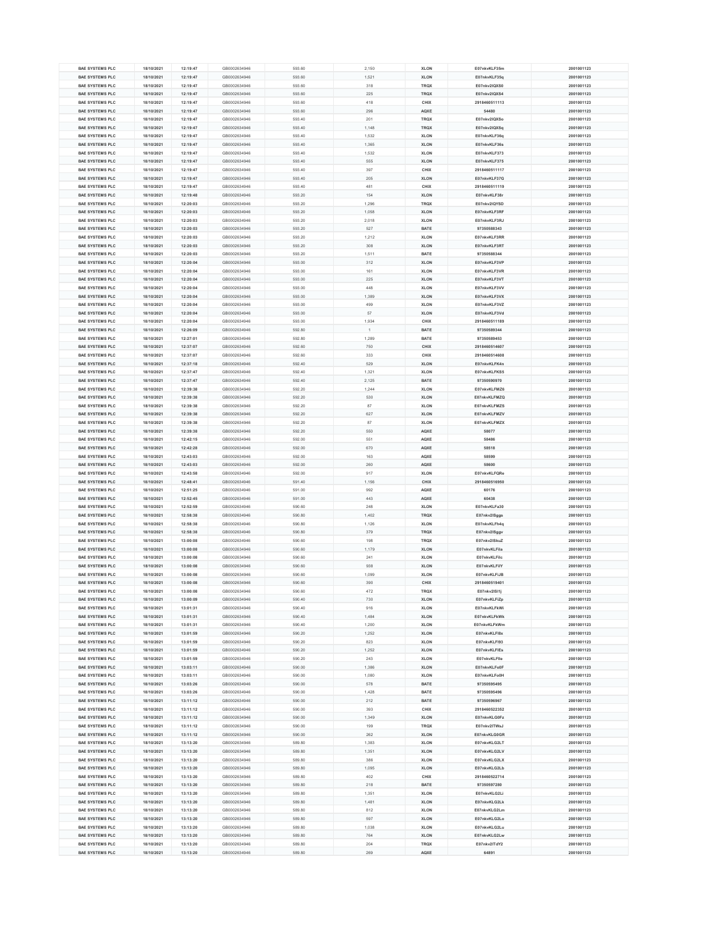| <b>BAE SYSTEMS PLC</b> | 18/10/2021 | 12:19:47 | GB0002634946 | 593.60 | 2,150 | <b>XLON</b> | E07nkvKLF35m  | 2001001123 |
|------------------------|------------|----------|--------------|--------|-------|-------------|---------------|------------|
| <b>BAE SYSTEMS PLC</b> | 18/10/2021 | 12:19:47 | GB0002634946 | 593.60 | 1,521 | <b>XLON</b> | E07nkvKLF35q  | 2001001123 |
|                        |            |          |              |        |       |             |               |            |
| <b>BAE SYSTEMS PLC</b> | 18/10/2021 | 12:19:47 | GB0002634946 | 593.60 | 318   | <b>TRQX</b> | E07nkv2IQXS0  | 2001001123 |
| <b>BAE SYSTEMS PLC</b> | 18/10/2021 | 12:19:47 | GB0002634946 | 593.60 | 225   | <b>TRQX</b> | E07nkv2IQXS4  | 2001001123 |
| <b>BAE SYSTEMS PLC</b> | 18/10/2021 | 12:19:47 | GB0002634946 | 593.60 | 418   | <b>CHIX</b> | 2918460511113 | 2001001123 |
| <b>BAE SYSTEMS PLC</b> | 18/10/2021 | 12:19:47 | GB0002634946 | 593.60 | 296   | <b>AQXE</b> | 54480         | 2001001123 |
| <b>BAE SYSTEMS PLC</b> | 18/10/2021 | 12:19:47 | GB0002634946 | 593.40 | 201   | <b>TRQX</b> | E07nkv2IQXSo  | 2001001123 |
|                        |            |          |              |        |       |             |               |            |
| <b>BAE SYSTEMS PLC</b> | 18/10/2021 | 12:19:47 | GB0002634946 | 593.40 | 1,148 | <b>TRQX</b> | E07nkv2IQXSq  | 2001001123 |
| <b>BAE SYSTEMS PLC</b> | 18/10/2021 | 12:19:47 | GB0002634946 | 593.40 | 1,532 | <b>XLON</b> | E07nkvKLF36q  | 2001001123 |
| <b>BAE SYSTEMS PLC</b> | 18/10/2021 | 12:19:47 | GB0002634946 | 593.40 | 1,365 | <b>XLON</b> | E07nkvKLF36s  | 2001001123 |
| <b>BAE SYSTEMS PLC</b> | 18/10/2021 | 12:19:47 | GB0002634946 | 593.40 | 1,532 | <b>XLON</b> | E07nkvKLF373  | 2001001123 |
|                        |            |          |              |        |       |             |               |            |
| <b>BAE SYSTEMS PLC</b> | 18/10/2021 | 12:19:47 | GB0002634946 | 593.40 | 555   | <b>XLON</b> | E07nkvKLF375  | 2001001123 |
| <b>BAE SYSTEMS PLC</b> | 18/10/2021 | 12:19:47 | GB0002634946 | 593.40 | 397   | <b>CHIX</b> | 2918460511117 | 2001001123 |
| <b>BAE SYSTEMS PLC</b> | 18/10/2021 | 12:19:47 | GB0002634946 | 593.40 | 205   | <b>XLON</b> | E07nkvKLF37G  | 2001001123 |
| <b>BAE SYSTEMS PLC</b> | 18/10/2021 | 12:19:47 | GB0002634946 | 593.40 | 481   | <b>CHIX</b> | 2918460511119 | 2001001123 |
| <b>BAE SYSTEMS PLC</b> | 18/10/2021 | 12:19:48 | GB0002634946 | 593.20 | 154   | <b>XLON</b> | E07nkvKLF38r  | 2001001123 |
|                        |            |          |              |        |       |             |               |            |
| <b>BAE SYSTEMS PLC</b> | 18/10/2021 | 12:20:03 | GB0002634946 | 593.20 | 1,296 | <b>TRQX</b> | E07nkv2IQYSD  | 2001001123 |
| <b>BAE SYSTEMS PLC</b> | 18/10/2021 | 12:20:03 | GB0002634946 | 593.20 | 1,058 | <b>XLON</b> | E07nkvKLF3RF  | 2001001123 |
| <b>BAE SYSTEMS PLC</b> | 18/10/2021 | 12:20:03 | GB0002634946 | 593.20 | 2,018 | <b>XLON</b> | E07nkvKLF3RJ  | 2001001123 |
| <b>BAE SYSTEMS PLC</b> | 18/10/2021 | 12:20:03 | GB0002634946 | 593.20 | 527   | <b>BATE</b> | 97350588343   | 2001001123 |
| <b>BAE SYSTEMS PLC</b> | 18/10/2021 | 12:20:03 | GB0002634946 | 593.20 | 1,212 | <b>XLON</b> | E07nkvKLF3RR  | 2001001123 |
|                        |            |          |              |        |       |             |               |            |
| <b>BAE SYSTEMS PLC</b> | 18/10/2021 | 12:20:03 | GB0002634946 | 593.20 | 308   | <b>XLON</b> | E07nkvKLF3RT  | 2001001123 |
| <b>BAE SYSTEMS PLC</b> | 18/10/2021 | 12:20:03 | GB0002634946 | 593.20 | 1,511 | <b>BATE</b> | 97350588344   | 2001001123 |
| <b>BAE SYSTEMS PLC</b> | 18/10/2021 | 12:20:04 | GB0002634946 | 593.00 | 312   | <b>XLON</b> | E07nkvKLF3VP  | 2001001123 |
| <b>BAE SYSTEMS PLC</b> | 18/10/2021 | 12:20:04 | GB0002634946 | 593.00 | 161   | <b>XLON</b> | E07nkvKLF3VR  | 2001001123 |
| <b>BAE SYSTEMS PLC</b> | 18/10/2021 | 12:20:04 | GB0002634946 | 593.00 | 225   | <b>XLON</b> | E07nkvKLF3VT  | 2001001123 |
|                        |            |          |              |        |       |             |               |            |
| <b>BAE SYSTEMS PLC</b> | 18/10/2021 | 12:20:04 | GB0002634946 | 593.00 | 448   | <b>XLON</b> | E07nkvKLF3VV  | 2001001123 |
| <b>BAE SYSTEMS PLC</b> | 18/10/2021 | 12:20:04 | GB0002634946 | 593.00 | 1,389 | <b>XLON</b> | E07nkvKLF3VX  | 2001001123 |
| <b>BAE SYSTEMS PLC</b> | 18/10/2021 | 12:20:04 | GB0002634946 | 593.00 | 499   | <b>XLON</b> | E07nkvKLF3VZ  | 2001001123 |
| <b>BAE SYSTEMS PLC</b> | 18/10/2021 | 12:20:04 | GB0002634946 | 593.00 | 57    | <b>XLON</b> | E07nkvKLF3Vd  | 2001001123 |
|                        |            | 12:20:04 |              | 593.00 | 1,934 | <b>CHIX</b> |               |            |
| <b>BAE SYSTEMS PLC</b> | 18/10/2021 |          | GB0002634946 |        |       |             | 2918460511189 | 2001001123 |
| <b>BAE SYSTEMS PLC</b> | 18/10/2021 | 12:26:09 | GB0002634946 | 592.80 |       | <b>BATE</b> | 97350589344   | 2001001123 |
| <b>BAE SYSTEMS PLC</b> | 18/10/2021 | 12:27:01 | GB0002634946 | 592.80 | 1,289 | <b>BATE</b> | 97350589453   | 2001001123 |
| <b>BAE SYSTEMS PLC</b> | 18/10/2021 | 12:37:07 | GB0002634946 | 592.60 | 750   | <b>CHIX</b> | 2918460514607 | 2001001123 |
| <b>BAE SYSTEMS PLC</b> | 18/10/2021 | 12:37:07 | GB0002634946 | 592.60 | 333   | <b>CHIX</b> | 2918460514608 | 2001001123 |
|                        |            |          |              |        |       |             |               |            |
| <b>BAE SYSTEMS PLC</b> | 18/10/2021 | 12:37:18 | GB0002634946 | 592.40 | 529   | <b>XLON</b> | E07nkvKLFK4n  | 2001001123 |
| <b>BAE SYSTEMS PLC</b> | 18/10/2021 | 12:37:47 | GB0002634946 | 592.40 | 1,321 | <b>XLON</b> | E07nkvKLFKS5  | 2001001123 |
| <b>BAE SYSTEMS PLC</b> | 18/10/2021 | 12:37:47 | GB0002634946 | 592.40 | 2,125 | <b>BATE</b> | 97350590970   | 2001001123 |
| <b>BAE SYSTEMS PLC</b> | 18/10/2021 | 12:39:38 | GB0002634946 | 592.20 | 1,244 | <b>XLON</b> | E07nkvKLFMZ6  | 2001001123 |
| <b>BAE SYSTEMS PLC</b> | 18/10/2021 | 12:39:38 | GB0002634946 | 592.20 | 530   | <b>XLON</b> | E07nkvKLFMZQ  | 2001001123 |
|                        |            |          |              |        |       |             |               |            |
| <b>BAE SYSTEMS PLC</b> | 18/10/2021 | 12:39:38 | GB0002634946 | 592.20 | 87    | <b>XLON</b> | E07nkvKLFMZS  | 2001001123 |
| <b>BAE SYSTEMS PLC</b> | 18/10/2021 | 12:39:38 | GB0002634946 | 592.20 | 627   | <b>XLON</b> | E07nkvKLFMZV  | 2001001123 |
| <b>BAE SYSTEMS PLC</b> | 18/10/2021 | 12:39:38 | GB0002634946 | 592.20 | 87    | <b>XLON</b> | E07nkvKLFMZX  | 2001001123 |
| <b>BAE SYSTEMS PLC</b> | 18/10/2021 | 12:39:38 | GB0002634946 | 592.20 | 550   | <b>AQXE</b> | 58077         | 2001001123 |
| <b>BAE SYSTEMS PLC</b> | 18/10/2021 | 12:42:15 | GB0002634946 | 592.00 | 551   | <b>AQXE</b> | 58486         | 2001001123 |
|                        |            |          |              |        |       |             |               |            |
|                        |            |          |              |        |       |             |               |            |
| <b>BAE SYSTEMS PLC</b> | 18/10/2021 | 12:42:28 | GB0002634946 | 592.00 | 670   | <b>AQXE</b> | 58518         | 2001001123 |
| <b>BAE SYSTEMS PLC</b> | 18/10/2021 | 12:43:03 | GB0002634946 | 592.00 | 163   | <b>AQXE</b> | 58599         | 2001001123 |
| <b>BAE SYSTEMS PLC</b> | 18/10/2021 | 12:43:03 | GB0002634946 | 592.00 | 260   | <b>AQXE</b> | 58600         | 2001001123 |
|                        |            |          |              |        |       |             |               |            |
| <b>BAE SYSTEMS PLC</b> | 18/10/2021 | 12:43:58 | GB0002634946 | 592.00 | 917   | <b>XLON</b> | E07nkvKLFQRe  | 2001001123 |
| <b>BAE SYSTEMS PLC</b> | 18/10/2021 | 12:48:41 | GB0002634946 | 591.40 | 1,156 | <b>CHIX</b> | 2918460516950 | 2001001123 |
| <b>BAE SYSTEMS PLC</b> | 18/10/2021 | 12:51:25 | GB0002634946 | 591.00 | 992   | <b>AQXE</b> | 60176         | 2001001123 |
| <b>BAE SYSTEMS PLC</b> | 18/10/2021 | 12:52:45 | GB0002634946 | 591.00 | 443   | <b>AQXE</b> | 60438         | 2001001123 |
| <b>BAE SYSTEMS PLC</b> | 18/10/2021 | 12:52:59 | GB0002634946 | 590.60 | 248   | <b>XLON</b> | E07nkvKLFa30  | 2001001123 |
|                        | 18/10/2021 |          | GB0002634946 |        |       | <b>TRQX</b> |               | 2001001123 |
| <b>BAE SYSTEMS PLC</b> |            | 12:58:38 |              | 590.80 | 1,402 |             | E07nkv2lSggs  |            |
| <b>BAE SYSTEMS PLC</b> | 18/10/2021 | 12:58:38 | GB0002634946 | 590.80 | 1,126 | <b>XLON</b> | E07nkvKLFh4q  | 2001001123 |
| <b>BAE SYSTEMS PLC</b> | 18/10/2021 | 12:58:38 | GB0002634946 | 590.80 | 379   | <b>TRQX</b> | E07nkv2lSggv  | 2001001123 |
| <b>BAE SYSTEMS PLC</b> | 18/10/2021 | 13:00:08 | GB0002634946 | 590.60 | 198   | <b>TRQX</b> | E07nkv2lSkuZ  | 2001001123 |
| <b>BAE SYSTEMS PLC</b> | 18/10/2021 | 13:00:08 | GB0002634946 | 590.60 | 1,179 | <b>XLON</b> | E07nkvKLFila  | 2001001123 |
|                        |            |          |              |        |       |             |               |            |
| <b>BAE SYSTEMS PLC</b> | 18/10/2021 | 13:00:08 | GB0002634946 | 590.60 | 241   | <b>XLON</b> | E07nkvKLFilc  | 2001001123 |
| <b>BAE SYSTEMS PLC</b> | 18/10/2021 | 13:00:08 | GB0002634946 | 590.60 | 938   | <b>XLON</b> | E07nkvKLFilY  | 2001001123 |
| <b>BAE SYSTEMS PLC</b> | 18/10/2021 | 13:00:08 | GB0002634946 | 590.60 | 1,099 | <b>XLON</b> | E07nkvKLFiJB  | 2001001123 |
| <b>BAE SYSTEMS PLC</b> | 18/10/2021 | 13:00:08 | GB0002634946 | 590.60 | 390   | <b>CHIX</b> | 2918460519401 | 2001001123 |
| <b>BAE SYSTEMS PLC</b> | 18/10/2021 | 13:00:08 | GB0002634946 | 590.60 | 472   | <b>TRQX</b> | E07nkv2ISI1j  | 2001001123 |
| <b>BAE SYSTEMS PLC</b> | 18/10/2021 | 13:00:09 | GB0002634946 | 590.40 | 730   | <b>XLON</b> | E07nkvKLFiZp  | 2001001123 |
|                        |            |          |              |        |       |             |               |            |
| <b>BAE SYSTEMS PLC</b> | 18/10/2021 | 13:01:31 | GB0002634946 | 590.40 | 916   | <b>XLON</b> | E07nkvKLFkWi  | 2001001123 |
| <b>BAE SYSTEMS PLC</b> | 18/10/2021 | 13:01:31 | GB0002634946 | 590.40 | 1,484 | <b>XLON</b> | E07nkvKLFkWk  | 2001001123 |
| <b>BAE SYSTEMS PLC</b> | 18/10/2021 | 13:01:31 | GB0002634946 | 590.40 | 1,200 | <b>XLON</b> | E07nkvKLFkWm  | 2001001123 |
| <b>BAE SYSTEMS PLC</b> | 18/10/2021 | 13:01:59 | GB0002634946 | 590.20 | 1,252 | <b>XLON</b> | E07nkvKLFI8x  | 2001001123 |
| <b>BAE SYSTEMS PLC</b> | 18/10/2021 | 13:01:59 | GB0002634946 | 590.20 | 823   | <b>XLON</b> | E07nkvKLFI93  | 2001001123 |
|                        |            |          |              |        |       |             |               |            |
| <b>BAE SYSTEMS PLC</b> | 18/10/2021 | 13:01:59 | GB0002634946 | 590.20 | 1,252 | <b>XLON</b> | E07nkvKLFIEs  | 2001001123 |
| <b>BAE SYSTEMS PLC</b> | 18/10/2021 | 13:01:59 | GB0002634946 | 590.20 | 243   | <b>XLON</b> | E07nkvKLFIIe  | 2001001123 |
| <b>BAE SYSTEMS PLC</b> | 18/10/2021 | 13:03:11 | GB0002634946 | 590.00 | 1,386 | <b>XLON</b> | E07nkvKLFo0F  | 2001001123 |
| <b>BAE SYSTEMS PLC</b> | 18/10/2021 | 13:03:11 | GB0002634946 | 590.00 | 1,080 | <b>XLON</b> | E07nkvKLFo0H  | 2001001123 |
| <b>BAE SYSTEMS PLC</b> | 18/10/2021 |          | GB0002634946 | 590.00 |       | <b>BATE</b> | 97350595495   | 2001001123 |
|                        |            | 13:03:26 |              |        | 578   |             |               |            |
| <b>BAE SYSTEMS PLC</b> | 18/10/2021 | 13:03:26 | GB0002634946 | 590.00 | 1,428 | <b>BATE</b> | 97350595496   | 2001001123 |
| <b>BAE SYSTEMS PLC</b> | 18/10/2021 | 13:11:12 | GB0002634946 | 590.00 | 212   | <b>BATE</b> | 97350596967   | 2001001123 |
| <b>BAE SYSTEMS PLC</b> | 18/10/2021 | 13:11:12 | GB0002634946 | 590.00 | 393   | <b>CHIX</b> | 2918460522352 | 2001001123 |
| <b>BAE SYSTEMS PLC</b> | 18/10/2021 | 13:11:12 | GB0002634946 | 590.00 | 1,349 | <b>XLON</b> | E07nkvKLG0Fz  | 2001001123 |
| <b>BAE SYSTEMS PLC</b> | 18/10/2021 | 13:11:12 | GB0002634946 | 590.00 | 199   | <b>TRQX</b> | E07nkv2ITWsJ  | 2001001123 |
|                        |            |          |              |        |       |             |               |            |
| <b>BAE SYSTEMS PLC</b> | 18/10/2021 | 13:11:12 | GB0002634946 | 590.00 | 262   | <b>XLON</b> | E07nkvKLG0GR  | 2001001123 |
| <b>BAE SYSTEMS PLC</b> | 18/10/2021 | 13:13:20 | GB0002634946 | 589.80 | 1,383 | <b>XLON</b> | E07nkvKLG2LT  | 2001001123 |
| <b>BAE SYSTEMS PLC</b> | 18/10/2021 | 13:13:20 | GB0002634946 | 589.80 | 1,351 | <b>XLON</b> | E07nkvKLG2LV  | 2001001123 |
| <b>BAE SYSTEMS PLC</b> | 18/10/2021 | 13:13:20 | GB0002634946 | 589.80 | 386   | <b>XLON</b> | E07nkvKLG2LX  | 2001001123 |
|                        |            |          |              |        |       |             |               |            |
| <b>BAE SYSTEMS PLC</b> | 18/10/2021 | 13:13:20 | GB0002634946 | 589.80 | 1,095 | <b>XLON</b> | E07nkvKLG2Lb  | 2001001123 |
| <b>BAE SYSTEMS PLC</b> | 18/10/2021 | 13:13:20 | GB0002634946 | 589.80 | 402   | <b>CHIX</b> | 2918460522714 | 2001001123 |
| <b>BAE SYSTEMS PLC</b> | 18/10/2021 | 13:13:20 | GB0002634946 | 589.80 | 218   | <b>BATE</b> | 97350597280   | 2001001123 |
| <b>BAE SYSTEMS PLC</b> | 18/10/2021 | 13:13:20 | GB0002634946 | 589.80 | 1,351 | <b>XLON</b> | E07nkvKLG2Li  | 2001001123 |
| <b>BAE SYSTEMS PLC</b> | 18/10/2021 | 13:13:20 | GB0002634946 | 589.80 | 1,481 | <b>XLON</b> | E07nkvKLG2Lk  | 2001001123 |
|                        |            |          |              |        |       |             |               |            |
| <b>BAE SYSTEMS PLC</b> | 18/10/2021 | 13:13:20 | GB0002634946 | 589.80 | 812   | <b>XLON</b> | E07nkvKLG2Lm  | 2001001123 |
| <b>BAE SYSTEMS PLC</b> | 18/10/2021 | 13:13:20 | GB0002634946 | 589.80 | 597   | <b>XLON</b> | E07nkvKLG2Lo  | 2001001123 |
| <b>BAE SYSTEMS PLC</b> | 18/10/2021 | 13:13:20 | GB0002634946 | 589.80 | 1,038 | <b>XLON</b> | E07nkvKLG2Lu  | 2001001123 |
| <b>BAE SYSTEMS PLC</b> | 18/10/2021 | 13:13:20 | GB0002634946 | 589.80 | 764   | <b>XLON</b> | E07nkvKLG2Lw  | 2001001123 |
| <b>BAE SYSTEMS PLC</b> | 18/10/2021 | 13:13:20 | GB0002634946 | 589.80 | 204   | <b>TRQX</b> | E07nkv2ITdY2  | 2001001123 |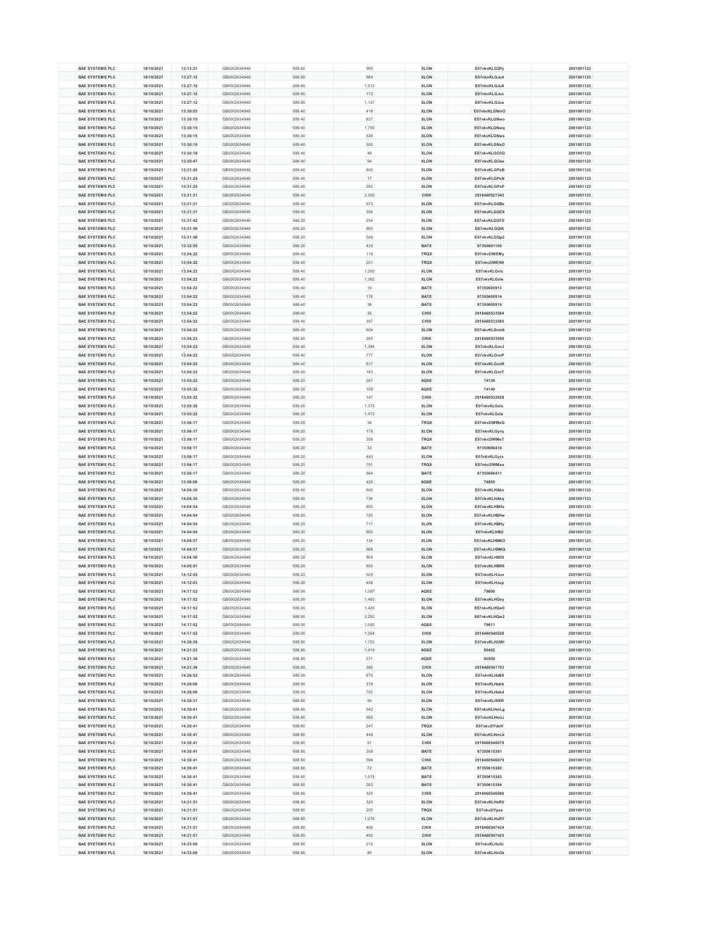| <b>BAE SYSTEMS PLC</b> | 18/10/2021 | 13:13:21 | GB0002634946 | 589.60 | 995   | <b>XLON</b> | E07nkvKLG2Py  | 2001001123 |
|------------------------|------------|----------|--------------|--------|-------|-------------|---------------|------------|
|                        |            |          |              |        |       |             |               |            |
| <b>BAE SYSTEMS PLC</b> | 18/10/2021 | 13:27:12 | GB0002634946 | 589.60 | 884   | <b>XLON</b> | E07nkvKLGJu4  | 2001001123 |
| <b>BAE SYSTEMS PLC</b> | 18/10/2021 | 13:27:12 | GB0002634946 | 589.60 | 1,512 | <b>XLON</b> | E07nkvKLGJu8  | 2001001123 |
| <b>BAE SYSTEMS PLC</b> | 18/10/2021 | 13:27:12 | GB0002634946 | 589.60 | 172   | <b>XLON</b> | E07nkvKLGJuc  | 2001001123 |
| <b>BAE SYSTEMS PLC</b> | 18/10/2021 | 13:27:12 | GB0002634946 | 589.60 | 1,137 | <b>XLON</b> | E07nkvKLGJue  | 2001001123 |
| <b>BAE SYSTEMS PLC</b> | 18/10/2021 | 13:30:03 | GB0002634946 | 589.40 | 419   | <b>XLON</b> | E07nkvKLGNmO  | 2001001123 |
|                        |            |          |              |        |       |             |               |            |
| <b>BAE SYSTEMS PLC</b> | 18/10/2021 | 13:30:15 | GB0002634946 | 589.40 | 837   | <b>XLON</b> | E07nkvKLGNwo  | 2001001123 |
| <b>BAE SYSTEMS PLC</b> | 18/10/2021 | 13:30:15 | GB0002634946 | 589.40 | 1,755 | <b>XLON</b> | E07nkvKLGNwq  | 2001001123 |
| <b>BAE SYSTEMS PLC</b> | 18/10/2021 | 13:30:15 | GB0002634946 | 589.40 | 526   | <b>XLON</b> | E07nkvKLGNws  | 2001001123 |
| <b>BAE SYSTEMS PLC</b> | 18/10/2021 | 13:30:15 | GB0002634946 | 589.40 | 300   | <b>XLON</b> | E07nkvKLGNxO  | 2001001123 |
| <b>BAE SYSTEMS PLC</b> | 18/10/2021 | 13:30:18 | GB0002634946 | 589.40 | 48    | <b>XLON</b> | E07nkvKLGO3Q  | 2001001123 |
|                        |            |          |              |        |       |             |               |            |
| <b>BAE SYSTEMS PLC</b> | 18/10/2021 | 13:30:47 | GB0002634946 | 589.40 | 94    | <b>XLON</b> | E07nkvKLGOse  | 2001001123 |
| <b>BAE SYSTEMS PLC</b> | 18/10/2021 | 13:31:25 | GB0002634946 | 589.40 | 800   | <b>XLON</b> | E07nkvKLGPxB  | 2001001123 |
| <b>BAE SYSTEMS PLC</b> | 18/10/2021 | 13:31:25 | GB0002634946 | 589.40 | 17    | <b>XLON</b> | E07nkvKLGPxN  | 2001001123 |
| <b>BAE SYSTEMS PLC</b> | 18/10/2021 | 13:31:25 | GB0002634946 | 589.40 | 283   | <b>XLON</b> | E07nkvKLGPxP  | 2001001123 |
| <b>BAE SYSTEMS PLC</b> | 18/10/2021 | 13:31:31 | GB0002634946 | 589.40 | 2,305 | <b>CHIX</b> | 2918460527343 | 2001001123 |
|                        |            |          |              |        |       |             |               |            |
| <b>BAE SYSTEMS PLC</b> | 18/10/2021 | 13:31:31 | GB0002634946 | 589.40 | 973   | <b>XLON</b> | E07nkvKLGQBx  | 2001001123 |
| <b>BAE SYSTEMS PLC</b> | 18/10/2021 | 13:31:31 | GB0002634946 | 589.40 | 354   | <b>XLON</b> | E07nkvKLGQC6  | 2001001123 |
| <b>BAE SYSTEMS PLC</b> | 18/10/2021 | 13:31:42 | GB0002634946 | 589.20 | 254   | <b>XLON</b> | E07nkvKLGQTE  | 2001001123 |
| <b>BAE SYSTEMS PLC</b> | 18/10/2021 | 13:31:56 | GB0002634946 | 589.20 | 800   | <b>XLON</b> | E07nkvKLGQiK  | 2001001123 |
| <b>BAE SYSTEMS PLC</b> | 18/10/2021 | 13:31:58 | GB0002634946 | 589.20 | 548   | <b>XLON</b> | E07nkvKLGQp2  | 2001001123 |
|                        |            |          |              |        |       |             |               |            |
| <b>BAE SYSTEMS PLC</b> | 18/10/2021 | 13:32:05 | GB0002634946 | 589.20 | 425   | <b>BATE</b> | 97350601105   | 2001001123 |
| <b>BAE SYSTEMS PLC</b> | 18/10/2021 | 13:54:22 | GB0002634946 | 589.40 | 115   | <b>TRQX</b> | E07nkv2IWEMy  | 2001001123 |
| <b>BAE SYSTEMS PLC</b> | 18/10/2021 | 13:54:22 | GB0002634946 | 589.40 | 201   | <b>TRQX</b> | E07nkv2IWEN0  | 2001001123 |
| <b>BAE SYSTEMS PLC</b> | 18/10/2021 | 13:54:22 | GB0002634946 | 589.40 | 1,200 | <b>XLON</b> | E07nkvKLGvlc  | 2001001123 |
| <b>BAE SYSTEMS PLC</b> | 18/10/2021 | 13:54:22 | GB0002634946 | 589.40 | 1,362 | <b>XLON</b> | E07nkvKLGvle  | 2001001123 |
|                        |            |          |              |        |       |             |               |            |
| <b>BAE SYSTEMS PLC</b> | 18/10/2021 | 13:54:22 | GB0002634946 | 589.40 | 19    | <b>BATE</b> | 97350605913   | 2001001123 |
| <b>BAE SYSTEMS PLC</b> | 18/10/2021 | 13:54:22 | GB0002634946 | 589.40 | 178   | <b>BATE</b> | 97350605914   | 2001001123 |
| <b>BAE SYSTEMS PLC</b> | 18/10/2021 | 13:54:22 | GB0002634946 | 589.40 | 36    | <b>BATE</b> | 97350605915   | 2001001123 |
| <b>BAE SYSTEMS PLC</b> | 18/10/2021 | 13:54:22 | GB0002634946 | 589.40 | 35    | <b>CHIX</b> | 2918460533584 | 2001001123 |
| <b>BAE SYSTEMS PLC</b> | 18/10/2021 | 13:54:22 | GB0002634946 | 589.40 | 397   | <b>CHIX</b> | 2918460533585 | 2001001123 |
|                        |            |          |              |        |       |             |               |            |
| <b>BAE SYSTEMS PLC</b> | 18/10/2021 | 13:54:22 | GB0002634946 | 589.40 | 604   | <b>XLON</b> | E07nkvKLGvm6  | 2001001123 |
| <b>BAE SYSTEMS PLC</b> | 18/10/2021 | 13:54:22 | GB0002634946 | 589.40 | 265   | <b>CHIX</b> | 2918460533590 | 2001001123 |
| <b>BAE SYSTEMS PLC</b> | 18/10/2021 | 13:54:22 | GB0002634946 | 589.40 | 1,394 | <b>XLON</b> | E07nkvKLGvnJ  | 2001001123 |
| <b>BAE SYSTEMS PLC</b> | 18/10/2021 | 13:54:22 | GB0002634946 | 589.40 | 777   | <b>XLON</b> | E07nkvKLGvnP  | 2001001123 |
| <b>BAE SYSTEMS PLC</b> | 18/10/2021 | 13:54:22 | GB0002634946 | 589.40 | 617   | <b>XLON</b> | E07nkvKLGvnR  | 2001001123 |
|                        |            |          |              |        |       |             |               |            |
| <b>BAE SYSTEMS PLC</b> | 18/10/2021 | 13:54:22 | GB0002634946 | 589.40 | 183   | <b>XLON</b> | E07nkvKLGvnT  | 2001001123 |
| <b>BAE SYSTEMS PLC</b> | 18/10/2021 | 13:55:22 | GB0002634946 | 589.20 | 267   | <b>AQXE</b> | 74139         | 2001001123 |
| <b>BAE SYSTEMS PLC</b> | 18/10/2021 | 13:55:22 | GB0002634946 | 589.20 | 158   | <b>AQXE</b> | 74140         | 2001001123 |
| <b>BAE SYSTEMS PLC</b> | 18/10/2021 | 13:55:22 | GB0002634946 | 589.20 | 147   | <b>CHIX</b> | 2918460533928 | 2001001123 |
|                        |            |          |              |        |       |             |               |            |
| <b>BAE SYSTEMS PLC</b> | 18/10/2021 | 13:55:22 | GB0002634946 | 589.20 | 1,375 | <b>XLON</b> | E07nkvKLGxIc  | 2001001123 |
| <b>BAE SYSTEMS PLC</b> | 18/10/2021 | 13:55:22 | GB0002634946 | 589.20 | 1,472 | <b>XLON</b> | E07nkvKLGxle  | 2001001123 |
| <b>BAE SYSTEMS PLC</b> | 18/10/2021 | 13:56:17 | GB0002634946 | 589.20 | 38    | <b>TRQX</b> | E07nkv2lWMeQ  | 2001001123 |
| <b>BAE SYSTEMS PLC</b> | 18/10/2021 | 13:56:17 | GB0002634946 | 589.20 | 179   | <b>XLON</b> | E07nkvKLGyrq  | 2001001123 |
| <b>BAE SYSTEMS PLC</b> | 18/10/2021 | 13:56:17 | GB0002634946 | 589.20 | 398   | <b>TRQX</b> | E07nkv2lWMeT  | 2001001123 |
|                        |            |          |              |        |       |             |               |            |
| <b>BAE SYSTEMS PLC</b> | 18/10/2021 | 13:56:17 | GB0002634946 | 589.20 | 33    | <b>BATE</b> | 97350606410   | 2001001123 |
| <b>BAE SYSTEMS PLC</b> | 18/10/2021 | 13:56:17 | GB0002634946 | 589.20 | 493   | <b>XLON</b> | E07nkvKLGyrs  | 2001001123 |
| <b>BAE SYSTEMS PLC</b> | 18/10/2021 | 13:56:17 | GB0002634946 | 589.20 | 751   | <b>TRQX</b> | E07nkv2IWMea  | 2001001123 |
| <b>BAE SYSTEMS PLC</b> | 18/10/2021 | 13:56:17 | GB0002634946 | 589.20 | 864   | <b>BATE</b> | 97350606411   | 2001001123 |
| <b>BAE SYSTEMS PLC</b> | 18/10/2021 | 13:58:06 | GB0002634946 | 589.00 | 425   | <b>AQXE</b> | 74855         | 2001001123 |
|                        |            |          |              |        |       |             |               |            |
| <b>BAE SYSTEMS PLC</b> | 18/10/2021 | 14:04:30 | GB0002634946 | 589.40 | 800   | <b>XLON</b> | E07nkvKLHAko  | 2001001123 |
| <b>BAE SYSTEMS PLC</b> | 18/10/2021 | 14:04:30 | GB0002634946 | 589.40 | 734   | <b>XLON</b> | E07nkvKLHAkq  | 2001001123 |
| <b>BAE SYSTEMS PLC</b> | 18/10/2021 | 14:04:54 | GB0002634946 | 589.20 | 800   | <b>XLON</b> | E07nkvKLHBHs  | 2001001123 |
| <b>BAE SYSTEMS PLC</b> | 18/10/2021 | 14:04:54 | GB0002634946 | 589.20 | 720   | <b>XLON</b> | E07nkvKLHBHw  | 2001001123 |
| <b>BAE SYSTEMS PLC</b> | 18/10/2021 | 14:04:54 | GB0002634946 | 589.20 | 717   | <b>XLON</b> | E07nkvKLHBHy  | 2001001123 |
|                        |            |          |              |        |       |             |               |            |
| <b>BAE SYSTEMS PLC</b> | 18/10/2021 | 14:04:54 | GB0002634946 | 589.20 | 800   | <b>XLON</b> | E07nkvKLHBI2  | 2001001123 |
| <b>BAE SYSTEMS PLC</b> | 18/10/2021 | 14:04:57 | GB0002634946 | 589.20 | 134   | <b>XLON</b> | E07nkvKLHBMO  | 2001001123 |
| <b>BAE SYSTEMS PLC</b> | 18/10/2021 | 14:04:57 | GB0002634946 | 589.20 | 666   | <b>XLON</b> | E07nkvKLHBMQ  | 2001001123 |
| <b>BAE SYSTEMS PLC</b> | 18/10/2021 | 14:04:59 | GB0002634946 | 589.20 | 800   | <b>XLON</b> | E07nkvKLHBOt  | 2001001123 |
| <b>BAE SYSTEMS PLC</b> | 18/10/2021 | 14:05:01 | GB0002634946 | 589.20 | 800   | <b>XLON</b> | E07nkvKLHBR8  | 2001001123 |
|                        |            |          |              |        |       |             |               |            |
| <b>BAE SYSTEMS PLC</b> | 18/10/2021 | 14:12:03 | GB0002634946 | 589.20 | 505   | <b>XLON</b> | E07nkvKLHJun  | 2001001123 |
| <b>BAE SYSTEMS PLC</b> | 18/10/2021 | 14:12:03 | GB0002634946 | 589.20 | 408   | <b>XLON</b> | E07nkvKLHJup  | 2001001123 |
| <b>BAE SYSTEMS PLC</b> | 18/10/2021 | 14:17:52 | GB0002634946 | 589.00 | 1,087 | <b>AQXE</b> | 79608         | 2001001123 |
| <b>BAE SYSTEMS PLC</b> | 18/10/2021 | 14:17:52 | GB0002634946 | 589.00 | 1,463 | <b>XLON</b> | E07nkvKLHQvy  | 2001001123 |
| <b>BAE SYSTEMS PLC</b> | 18/10/2021 | 14:17:52 | GB0002634946 | 589.00 | 1,420 | <b>XLON</b> | E07nkvKLHQw0  | 2001001123 |
|                        |            |          |              |        |       |             |               |            |
| <b>BAE SYSTEMS PLC</b> | 18/10/2021 | 14:17:52 | GB0002634946 | 589.00 | 2,292 | <b>XLON</b> | E07nkvKLHQw2  | 2001001123 |
| <b>BAE SYSTEMS PLC</b> | 18/10/2021 | 14:17:52 | GB0002634946 | 589.00 | 1,500 | <b>AQXE</b> | 79611         | 2001001123 |
| <b>BAE SYSTEMS PLC</b> | 18/10/2021 | 14:17:52 | GB0002634946 | 589.00 | 1,254 | <b>CHIX</b> | 2918460540528 | 2001001123 |
| <b>BAE SYSTEMS PLC</b> | 18/10/2021 | 14:20:28 | GB0002634946 | 588.80 | 1,753 | <b>XLON</b> | E07nkvKLHUWI  | 2001001123 |
| <b>BAE SYSTEMS PLC</b> | 18/10/2021 | 14:21:23 | GB0002634946 | 588.80 | 1,419 | <b>AQXE</b> | 80452         | 2001001123 |
|                        |            |          |              |        |       |             |               |            |
| <b>BAE SYSTEMS PLC</b> | 18/10/2021 | 14:21:36 | GB0002634946 | 588.80 | 271   | <b>AQXE</b> | 80509         | 2001001123 |
| <b>BAE SYSTEMS PLC</b> | 18/10/2021 | 14:21:36 | GB0002634946 | 588.80 | 385   | <b>CHIX</b> | 2918460541793 | 2001001123 |
| <b>BAE SYSTEMS PLC</b> | 18/10/2021 | 14:26:52 | GB0002634946 | 589.00 | 670   | <b>XLON</b> | E07nkvKLHd68  | 2001001123 |
| <b>BAE SYSTEMS PLC</b> | 18/10/2021 | 14:28:06 | GB0002634946 | 589.00 | 379   | <b>XLON</b> | E07nkvKLHekb  | 2001001123 |
| <b>BAE SYSTEMS PLC</b> | 18/10/2021 | 14:28:06 | GB0002634946 | 589.00 | 750   | <b>XLON</b> | E07nkvKLHekd  | 2001001123 |
|                        |            |          |              |        |       |             |               |            |
| <b>BAE SYSTEMS PLC</b> | 18/10/2021 | 14:30:31 | GB0002634946 | 588.80 | 90    | <b>XLON</b> | E07nkvKLHIXR  | 2001001123 |
| <b>BAE SYSTEMS PLC</b> | 18/10/2021 | 14:30:41 | GB0002634946 | 588.80 | 542   | <b>XLON</b> | E07nkvKLHmLg  | 2001001123 |
| <b>BAE SYSTEMS PLC</b> | 18/10/2021 | 14:30:41 | GB0002634946 | 588.80 | 592   | <b>XLON</b> | E07nkvKLHmLi  | 2001001123 |
| <b>BAE SYSTEMS PLC</b> | 18/10/2021 | 14:30:41 | GB0002634946 | 588.80 | 247   | <b>TRQX</b> | E07nkv2lYdeH  | 2001001123 |
| <b>BAE SYSTEMS PLC</b> | 18/10/2021 | 14:30:41 | GB0002634946 | 588.80 | 449   | <b>XLON</b> | E07nkvKLHmLk  | 2001001123 |
|                        |            |          |              |        |       |             |               |            |
| <b>BAE SYSTEMS PLC</b> | 18/10/2021 | 14:30:41 | GB0002634946 | 588.80 | 91    | <b>CHIX</b> | 2918460546078 | 2001001123 |
| <b>BAE SYSTEMS PLC</b> | 18/10/2021 | 14:30:41 | GB0002634946 | 588.80 | 359   | <b>BATE</b> | 97350615381   | 2001001123 |
|                        |            |          | GB0002634946 | 588.80 | 396   | <b>CHIX</b> | 2918460546079 | 2001001123 |
| <b>BAE SYSTEMS PLC</b> | 18/10/2021 | 14:30:41 |              |        |       |             |               |            |
| <b>BAE SYSTEMS PLC</b> | 18/10/2021 | 14:30:41 | GB0002634946 | 588.80 | 72    | <b>BATE</b> | 97350615382   | 2001001123 |
|                        |            |          |              |        |       |             |               |            |
| <b>BAE SYSTEMS PLC</b> | 18/10/2021 | 14:30:41 | GB0002634946 | 588.80 | 1,578 | <b>BATE</b> | 97350615383   | 2001001123 |
| <b>BAE SYSTEMS PLC</b> | 18/10/2021 | 14:30:41 | GB0002634946 | 588.80 | 263   | <b>BATE</b> | 97350615384   | 2001001123 |
| <b>BAE SYSTEMS PLC</b> | 18/10/2021 | 14:30:41 | GB0002634946 | 588.80 | 325   | <b>CHIX</b> | 2918460546080 | 2001001123 |
| <b>BAE SYSTEMS PLC</b> | 18/10/2021 | 14:31:51 | GB0002634946 | 588.80 | 320   | <b>XLON</b> | E07nkvKLHsRV  | 2001001123 |
| <b>BAE SYSTEMS PLC</b> | 18/10/2021 | 14:31:51 | GB0002634946 | 588.80 | 205   | <b>TRQX</b> | E07nkv2lYpxs  | 2001001123 |
|                        |            |          |              |        |       |             |               |            |
| <b>BAE SYSTEMS PLC</b> | 18/10/2021 | 14:31:51 | GB0002634946 | 588.80 | 1,076 | <b>XLON</b> | E07nkvKLHsRY  | 2001001123 |
| <b>BAE SYSTEMS PLC</b> | 18/10/2021 | 14:31:51 | GB0002634946 | 588.80 | 406   | <b>CHIX</b> | 2918460547424 | 2001001123 |
| <b>BAE SYSTEMS PLC</b> | 18/10/2021 | 14:31:51 | GB0002634946 | 588.80 | 492   | <b>CHIX</b> | 2918460547425 | 2001001123 |
| <b>BAE SYSTEMS PLC</b> | 18/10/2021 | 14:33:08 | GB0002634946 | 588.80 | 212   | <b>XLON</b> | E07nkvKLHxGi  | 2001001123 |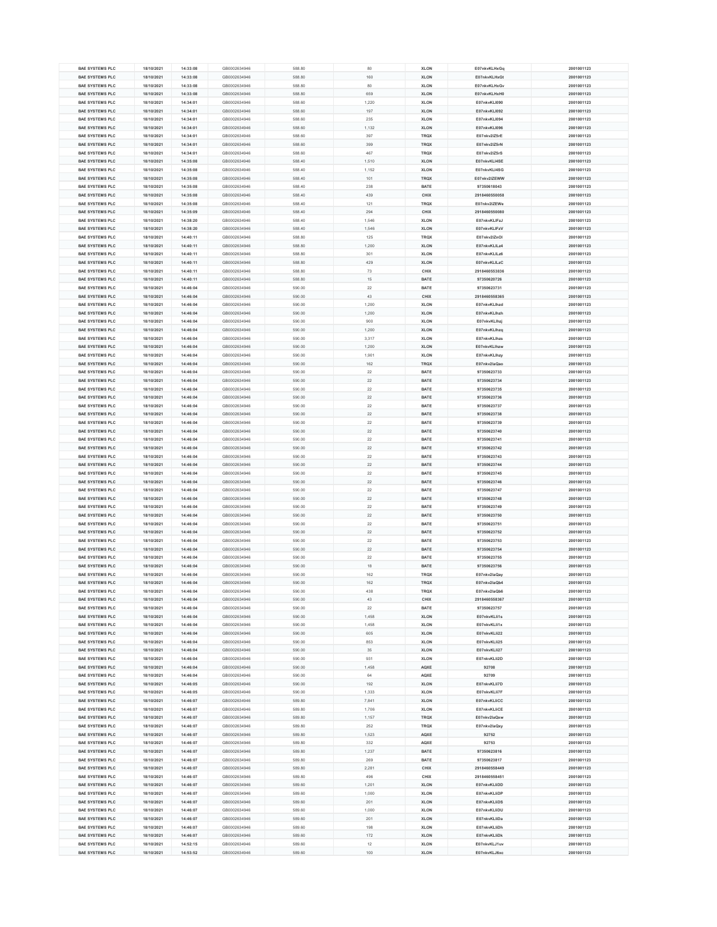|                        | 18/10/2021 | 14:33:08 | GB0002634946 | 588.80 | 80    | <b>XLON</b> | E07nkvKLHxGq  | 2001001123 |
|------------------------|------------|----------|--------------|--------|-------|-------------|---------------|------------|
| <b>BAE SYSTEMS PLC</b> |            |          |              |        |       |             |               |            |
| <b>BAE SYSTEMS PLC</b> | 18/10/2021 | 14:33:08 | GB0002634946 | 588.80 | 160   | <b>XLON</b> | E07nkvKLHxGt  | 2001001123 |
| <b>BAE SYSTEMS PLC</b> | 18/10/2021 | 14:33:08 | GB0002634946 | 588.80 | 80    | <b>XLON</b> | E07nkvKLHxGv  | 2001001123 |
| <b>BAE SYSTEMS PLC</b> | 18/10/2021 | 14:33:08 | GB0002634946 | 588.80 | 659   | <b>XLON</b> | E07nkvKLHxH0  | 2001001123 |
| <b>BAE SYSTEMS PLC</b> | 18/10/2021 | 14:34:01 | GB0002634946 | 588.60 | 1,220 | <b>XLON</b> | E07nkvKLI090  | 2001001123 |
| <b>BAE SYSTEMS PLC</b> | 18/10/2021 | 14:34:01 | GB0002634946 | 588.60 | 197   | <b>XLON</b> | E07nkvKLI092  | 2001001123 |
|                        |            |          |              |        |       |             |               |            |
| <b>BAE SYSTEMS PLC</b> | 18/10/2021 | 14:34:01 | GB0002634946 | 588.60 | 235   | <b>XLON</b> | E07nkvKLI094  | 2001001123 |
| <b>BAE SYSTEMS PLC</b> | 18/10/2021 | 14:34:01 | GB0002634946 | 588.60 | 1,132 | <b>XLON</b> | E07nkvKLI096  | 2001001123 |
| <b>BAE SYSTEMS PLC</b> | 18/10/2021 | 14:34:01 | GB0002634946 | 588.60 | 397   | <b>TRQX</b> | E07nkv2lZ5rE  | 2001001123 |
| <b>BAE SYSTEMS PLC</b> | 18/10/2021 | 14:34:01 | GB0002634946 | 588.60 | 399   | <b>TRQX</b> | E07nkv2lZ5rN  | 2001001123 |
| <b>BAE SYSTEMS PLC</b> | 18/10/2021 | 14:34:01 | GB0002634946 | 588.60 | 467   | <b>TRQX</b> | E07nkv2lZ5rS  | 2001001123 |
|                        |            |          |              |        |       |             |               |            |
| <b>BAE SYSTEMS PLC</b> | 18/10/2021 | 14:35:08 | GB0002634946 | 588.40 | 1,510 | <b>XLON</b> | E07nkvKLI4SE  | 2001001123 |
| <b>BAE SYSTEMS PLC</b> | 18/10/2021 | 14:35:08 | GB0002634946 | 588.40 | 1,152 | <b>XLON</b> | E07nkvKLI4SG  | 2001001123 |
| <b>BAE SYSTEMS PLC</b> | 18/10/2021 | 14:35:08 | GB0002634946 | 588.40 | 101   | <b>TRQX</b> | E07nkv2IZEWW  | 2001001123 |
| <b>BAE SYSTEMS PLC</b> | 18/10/2021 | 14:35:08 | GB0002634946 | 588.40 | 238   | <b>BATE</b> | 97350618043   | 2001001123 |
| <b>BAE SYSTEMS PLC</b> | 18/10/2021 | 14:35:08 | GB0002634946 | 588.40 | 439   | <b>CHIX</b> | 2918460550058 | 2001001123 |
|                        |            |          |              |        |       |             |               |            |
| <b>BAE SYSTEMS PLC</b> | 18/10/2021 | 14:35:08 | GB0002634946 | 588.40 | 121   | <b>TRQX</b> | E07nkv2IZEWe  | 2001001123 |
| <b>BAE SYSTEMS PLC</b> | 18/10/2021 | 14:35:09 | GB0002634946 | 588.40 | 294   | <b>CHIX</b> | 2918460550080 | 2001001123 |
| <b>BAE SYSTEMS PLC</b> | 18/10/2021 | 14:38:20 | GB0002634946 | 588.40 | 1,546 | <b>XLON</b> | E07nkvKLIFzJ  | 2001001123 |
| <b>BAE SYSTEMS PLC</b> | 18/10/2021 | 14:38:20 | GB0002634946 | 588.40 | 1,546 | <b>XLON</b> | E07nkvKLIFzV  | 2001001123 |
| <b>BAE SYSTEMS PLC</b> | 18/10/2021 | 14:40:11 | GB0002634946 | 588.80 | 125   | <b>TRQX</b> | E07nkv2lZnOl  | 2001001123 |
|                        |            |          |              |        |       |             |               |            |
| <b>BAE SYSTEMS PLC</b> | 18/10/2021 | 14:40:11 | GB0002634946 | 588.80 | 1,200 | <b>XLON</b> | E07nkvKLILz4  | 2001001123 |
| <b>BAE SYSTEMS PLC</b> | 18/10/2021 | 14:40:11 | GB0002634946 | 588.80 | 301   | <b>XLON</b> | E07nkvKLILz6  | 2001001123 |
| <b>BAE SYSTEMS PLC</b> | 18/10/2021 | 14:40:11 | GB0002634946 | 588.80 | 429   | <b>XLON</b> | E07nkvKLILzC  | 2001001123 |
| <b>BAE SYSTEMS PLC</b> | 18/10/2021 | 14:40:11 | GB0002634946 | 588.80 | 73    | <b>CHIX</b> | 2918460553836 | 2001001123 |
| <b>BAE SYSTEMS PLC</b> | 18/10/2021 | 14:40:11 | GB0002634946 | 588.80 | 15    | <b>BATE</b> | 97350620726   | 2001001123 |
|                        |            |          |              |        |       |             |               |            |
| <b>BAE SYSTEMS PLC</b> | 18/10/2021 | 14:46:04 | GB0002634946 | 590.00 | 22    | <b>BATE</b> | 97350623731   | 2001001123 |
| <b>BAE SYSTEMS PLC</b> | 18/10/2021 | 14:46:04 | GB0002634946 | 590.00 | 43    | <b>CHIX</b> | 2918460558365 | 2001001123 |
| <b>BAE SYSTEMS PLC</b> | 18/10/2021 | 14:46:04 | GB0002634946 | 590.00 | 1,200 | <b>XLON</b> | E07nkvKLlhzd  | 2001001123 |
| <b>BAE SYSTEMS PLC</b> | 18/10/2021 | 14:46:04 | GB0002634946 | 590.00 | 1,200 | <b>XLON</b> | E07nkvKLlhzh  | 2001001123 |
| <b>BAE SYSTEMS PLC</b> | 18/10/2021 | 14:46:04 | GB0002634946 | 590.00 | 900   | <b>XLON</b> |               | 2001001123 |
|                        |            |          |              |        |       |             | E07nkvKLlhzj  |            |
| <b>BAE SYSTEMS PLC</b> | 18/10/2021 | 14:46:04 | GB0002634946 | 590.00 | 1,200 | <b>XLON</b> | E07nkvKLlhzq  | 2001001123 |
| <b>BAE SYSTEMS PLC</b> | 18/10/2021 | 14:46:04 | GB0002634946 | 590.00 | 3,317 | <b>XLON</b> | E07nkvKLlhzs  | 2001001123 |
| <b>BAE SYSTEMS PLC</b> | 18/10/2021 | 14:46:04 | GB0002634946 | 590.00 | 1,200 | <b>XLON</b> | E07nkvKLlhzw  | 2001001123 |
| <b>BAE SYSTEMS PLC</b> | 18/10/2021 | 14:46:04 | GB0002634946 | 590.00 | 1,901 | <b>XLON</b> | E07nkvKLlhzy  | 2001001123 |
| <b>BAE SYSTEMS PLC</b> | 18/10/2021 | 14:46:04 | GB0002634946 | 590.00 | 162   | <b>TRQX</b> | E07nkv2laQao  | 2001001123 |
|                        |            |          |              |        |       |             |               |            |
| <b>BAE SYSTEMS PLC</b> | 18/10/2021 | 14:46:04 | GB0002634946 | 590.00 | 22    | <b>BATE</b> | 97350623733   | 2001001123 |
| <b>BAE SYSTEMS PLC</b> | 18/10/2021 | 14:46:04 | GB0002634946 | 590.00 | 22    | <b>BATE</b> | 97350623734   | 2001001123 |
| <b>BAE SYSTEMS PLC</b> | 18/10/2021 | 14:46:04 | GB0002634946 | 590.00 | 22    | <b>BATE</b> | 97350623735   | 2001001123 |
| <b>BAE SYSTEMS PLC</b> | 18/10/2021 | 14:46:04 | GB0002634946 | 590.00 | 22    | <b>BATE</b> | 97350623736   | 2001001123 |
|                        |            |          |              |        |       |             |               |            |
| <b>BAE SYSTEMS PLC</b> | 18/10/2021 | 14:46:04 | GB0002634946 | 590.00 | 22    | <b>BATE</b> | 97350623737   | 2001001123 |
| <b>BAE SYSTEMS PLC</b> | 18/10/2021 | 14:46:04 | GB0002634946 | 590.00 | 22    | <b>BATE</b> | 97350623738   | 2001001123 |
| <b>BAE SYSTEMS PLC</b> | 18/10/2021 | 14:46:04 | GB0002634946 | 590.00 | 22    | <b>BATE</b> | 97350623739   | 2001001123 |
| <b>BAE SYSTEMS PLC</b> | 18/10/2021 | 14:46:04 | GB0002634946 | 590.00 | 22    | <b>BATE</b> | 97350623740   | 2001001123 |
| <b>BAE SYSTEMS PLC</b> | 18/10/2021 | 14:46:04 | GB0002634946 | 590.00 | 22    | <b>BATE</b> | 97350623741   | 2001001123 |
|                        |            |          |              |        |       |             |               |            |
| <b>BAE SYSTEMS PLC</b> | 18/10/2021 | 14:46:04 | GB0002634946 | 590.00 | 22    | <b>BATE</b> | 97350623742   | 2001001123 |
| <b>BAE SYSTEMS PLC</b> | 18/10/2021 | 14:46:04 | GB0002634946 | 590.00 | 22    | <b>BATE</b> | 97350623743   | 2001001123 |
| <b>BAE SYSTEMS PLC</b> | 18/10/2021 | 14:46:04 | GB0002634946 | 590.00 | 22    | <b>BATE</b> | 97350623744   | 2001001123 |
| <b>BAE SYSTEMS PLC</b> | 18/10/2021 | 14:46:04 | GB0002634946 | 590.00 | 22    | <b>BATE</b> | 97350623745   | 2001001123 |
| <b>BAE SYSTEMS PLC</b> | 18/10/2021 | 14:46:04 | GB0002634946 | 590.00 | 22    | <b>BATE</b> | 97350623746   | 2001001123 |
|                        |            |          |              |        |       |             |               |            |
|                        |            |          |              |        |       |             |               |            |
| <b>BAE SYSTEMS PLC</b> | 18/10/2021 | 14:46:04 | GB0002634946 | 590.00 | 22    | <b>BATE</b> | 97350623747   | 2001001123 |
| <b>BAE SYSTEMS PLC</b> | 18/10/2021 | 14:46:04 | GB0002634946 | 590.00 | 22    | <b>BATE</b> | 97350623748   | 2001001123 |
| <b>BAE SYSTEMS PLC</b> | 18/10/2021 | 14:46:04 | GB0002634946 | 590.00 | 22    | <b>BATE</b> | 97350623749   | 2001001123 |
| <b>BAE SYSTEMS PLC</b> | 18/10/2021 | 14:46:04 | GB0002634946 | 590.00 | 22    | <b>BATE</b> | 97350623750   | 2001001123 |
|                        |            |          |              |        |       |             |               |            |
| <b>BAE SYSTEMS PLC</b> | 18/10/2021 | 14:46:04 | GB0002634946 | 590.00 | 22    | <b>BATE</b> | 97350623751   | 2001001123 |
| <b>BAE SYSTEMS PLC</b> | 18/10/2021 | 14:46:04 | GB0002634946 | 590.00 | 22    | <b>BATE</b> | 97350623752   | 2001001123 |
| <b>BAE SYSTEMS PLC</b> | 18/10/2021 | 14:46:04 | GB0002634946 | 590.00 | 22    | <b>BATE</b> | 97350623753   | 2001001123 |
| <b>BAE SYSTEMS PLC</b> | 18/10/2021 | 14:46:04 | GB0002634946 | 590.00 | 22    | <b>BATE</b> | 97350623754   | 2001001123 |
| <b>BAE SYSTEMS PLC</b> |            |          |              |        |       |             |               |            |
|                        | 18/10/2021 | 14:46:04 | GB0002634946 | 590.00 | 22    | <b>BATE</b> | 97350623755   | 2001001123 |
| <b>BAE SYSTEMS PLC</b> | 18/10/2021 | 14:46:04 | GB0002634946 | 590.00 | 18    | <b>BATE</b> | 97350623756   | 2001001123 |
| <b>BAE SYSTEMS PLC</b> | 18/10/2021 | 14:46:04 | GB0002634946 | 590.00 | 162   | <b>TRQX</b> | E07nkv2laQay  | 2001001123 |
| <b>BAE SYSTEMS PLC</b> | 18/10/2021 | 14:46:04 | GB0002634946 | 590.00 | 162   | <b>TRQX</b> | E07nkv2laQb4  | 2001001123 |
| <b>BAE SYSTEMS PLC</b> | 18/10/2021 | 14:46:04 | GB0002634946 | 590.00 | 438   | <b>TRQX</b> | E07nkv2laQb6  | 2001001123 |
| <b>BAE SYSTEMS PLC</b> | 18/10/2021 | 14:46:04 | GB0002634946 | 590.00 | 43    | <b>CHIX</b> | 2918460558367 | 2001001123 |
|                        |            |          |              |        |       |             |               |            |
| <b>BAE SYSTEMS PLC</b> | 18/10/2021 | 14:46:04 | GB0002634946 | 590.00 | 22    | <b>BATE</b> | 97350623757   | 2001001123 |
| <b>BAE SYSTEMS PLC</b> | 18/10/2021 | 14:46:04 | GB0002634946 | 590.00 | 1,458 | <b>XLON</b> | E07nkvKLli1s  | 2001001123 |
| <b>BAE SYSTEMS PLC</b> | 18/10/2021 | 14:46:04 | GB0002634946 | 590.00 | 1,458 | <b>XLON</b> | E07nkvKLli1x  | 2001001123 |
| <b>BAE SYSTEMS PLC</b> | 18/10/2021 | 14:46:04 | GB0002634946 | 590.00 | 605   | <b>XLON</b> | E07nkvKLli22  | 2001001123 |
| <b>BAE SYSTEMS PLC</b> | 18/10/2021 | 14:46:04 | GB0002634946 | 590.00 | 853   | <b>XLON</b> | E07nkvKLli25  | 2001001123 |
| <b>BAE SYSTEMS PLC</b> | 18/10/2021 | 14:46:04 | GB0002634946 | 590.00 | 35    | <b>XLON</b> | E07nkvKLli27  | 2001001123 |
|                        |            |          |              |        |       |             |               |            |
| <b>BAE SYSTEMS PLC</b> | 18/10/2021 | 14:46:04 | GB0002634946 | 590.00 | 931   | <b>XLON</b> | E07nkvKLIi2D  | 2001001123 |
| <b>BAE SYSTEMS PLC</b> | 18/10/2021 | 14:46:04 | GB0002634946 | 590.00 | 1,458 | <b>AQXE</b> | 92708         | 2001001123 |
| <b>BAE SYSTEMS PLC</b> | 18/10/2021 | 14:46:04 | GB0002634946 | 590.00 | 64    | <b>AQXE</b> | 92709         | 2001001123 |
| <b>BAE SYSTEMS PLC</b> | 18/10/2021 | 14:46:05 | GB0002634946 | 590.00 | 192   | <b>XLON</b> | E07nkvKLIi7D  | 2001001123 |
| <b>BAE SYSTEMS PLC</b> | 18/10/2021 | 14:46:05 | GB0002634946 | 590.00 | 1,333 | <b>XLON</b> | E07nkvKLIi7F  | 2001001123 |
|                        |            |          |              |        |       |             |               |            |
| <b>BAE SYSTEMS PLC</b> | 18/10/2021 | 14:46:07 | GB0002634946 | 589.80 | 7,841 | <b>XLON</b> | E07nkvKLIiCC  | 2001001123 |
| <b>BAE SYSTEMS PLC</b> | 18/10/2021 | 14:46:07 | GB0002634946 | 589.80 | 1,706 | <b>XLON</b> | E07nkvKLIiCE  | 2001001123 |
| <b>BAE SYSTEMS PLC</b> | 18/10/2021 | 14:46:07 | GB0002634946 | 589.80 | 1,157 | <b>TRQX</b> | E07nkv2laQxw  | 2001001123 |
| <b>BAE SYSTEMS PLC</b> | 18/10/2021 | 14:46:07 | GB0002634946 | 589.80 | 252   | <b>TRQX</b> | E07nkv2laQxy  | 2001001123 |
| <b>BAE SYSTEMS PLC</b> | 18/10/2021 | 14:46:07 | GB0002634946 | 589.80 | 1,523 | <b>AQXE</b> | 92752         | 2001001123 |
|                        |            |          |              |        |       |             |               |            |
| <b>BAE SYSTEMS PLC</b> | 18/10/2021 | 14:46:07 | GB0002634946 | 589.80 | 332   | <b>AQXE</b> | 92753         | 2001001123 |
| <b>BAE SYSTEMS PLC</b> | 18/10/2021 | 14:46:07 | GB0002634946 | 589.80 | 1,237 | <b>BATE</b> | 97350623816   | 2001001123 |
| <b>BAE SYSTEMS PLC</b> | 18/10/2021 | 14:46:07 | GB0002634946 | 589.80 | 269   | <b>BATE</b> | 97350623817   | 2001001123 |
| <b>BAE SYSTEMS PLC</b> | 18/10/2021 | 14:46:07 | GB0002634946 | 589.80 | 2,281 | <b>CHIX</b> | 2918460558449 | 2001001123 |
| <b>BAE SYSTEMS PLC</b> | 18/10/2021 | 14:46:07 | GB0002634946 | 589.80 | 496   | <b>CHIX</b> | 2918460558451 | 2001001123 |
|                        |            |          |              |        |       |             |               |            |
| <b>BAE SYSTEMS PLC</b> | 18/10/2021 | 14:46:07 | GB0002634946 | 589.60 | 1,201 | <b>XLON</b> | E07nkvKLIiDD  | 2001001123 |
| <b>BAE SYSTEMS PLC</b> | 18/10/2021 | 14:46:07 | GB0002634946 | 589.60 | 1,000 | <b>XLON</b> | E07nkvKLIiDP  | 2001001123 |
| <b>BAE SYSTEMS PLC</b> | 18/10/2021 | 14:46:07 | GB0002634946 | 589.60 | 201   | <b>XLON</b> | E07nkvKLIiDS  | 2001001123 |
| <b>BAE SYSTEMS PLC</b> | 18/10/2021 | 14:46:07 | GB0002634946 | 589.60 | 1,000 | <b>XLON</b> | E07nkvKLIiDU  | 2001001123 |
|                        |            |          |              |        |       |             |               |            |
| <b>BAE SYSTEMS PLC</b> | 18/10/2021 | 14:46:07 | GB0002634946 | 589.60 | 201   | <b>XLON</b> | E07nkvKLliDa  | 2001001123 |
| <b>BAE SYSTEMS PLC</b> | 18/10/2021 | 14:46:07 | GB0002634946 | 589.60 | 198   | <b>XLON</b> | E07nkvKLliDh  | 2001001123 |
| <b>BAE SYSTEMS PLC</b> | 18/10/2021 | 14:46:07 | GB0002634946 | 589.60 | 172   | <b>XLON</b> | E07nkvKLliDk  | 2001001123 |
| <b>BAE SYSTEMS PLC</b> | 18/10/2021 | 14:52:15 | GB0002634946 | 589.60 | 12    | <b>XLON</b> | E07nkvKLJ1uv  | 2001001123 |